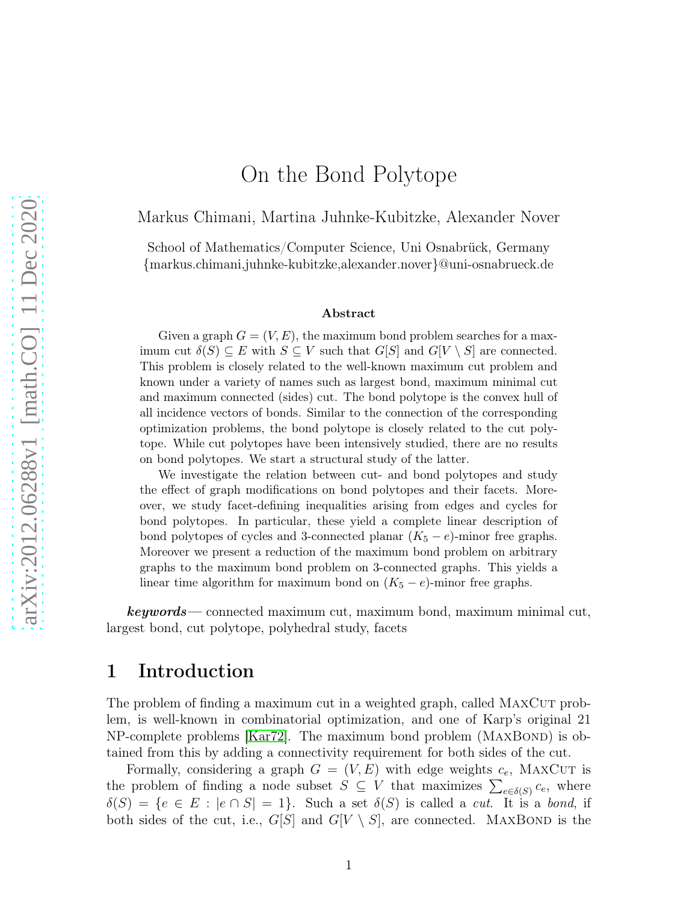# On the Bond Polytope

Markus Chimani, Martina Juhnke-Kubitzke, Alexander Nover

School of Mathematics/Computer Science, Uni Osnabrück, Germany {markus.chimani,juhnke-kubitzke,alexander.nover}@uni-osnabrueck.de

#### Abstract

Given a graph  $G = (V, E)$ , the maximum bond problem searches for a maximum cut  $\delta(S) \subseteq E$  with  $S \subseteq V$  such that  $G[S]$  and  $G[V \setminus S]$  are connected. This problem is closely related to the well-known maximum cut problem and known under a variety of names such as largest bond, maximum minimal cut and maximum connected (sides) cut. The bond polytope is the convex hull of all incidence vectors of bonds. Similar to the connection of the corresponding optimization problems, the bond polytope is closely related to the cut polytope. While cut polytopes have been intensively studied, there are no results on bond polytopes. We start a structural study of the latter.

We investigate the relation between cut- and bond polytopes and study the effect of graph modifications on bond polytopes and their facets. Moreover, we study facet-defining inequalities arising from edges and cycles for bond polytopes. In particular, these yield a complete linear description of bond polytopes of cycles and 3-connected planar  $(K_5 - e)$ -minor free graphs. Moreover we present a reduction of the maximum bond problem on arbitrary graphs to the maximum bond problem on 3-connected graphs. This yields a linear time algorithm for maximum bond on  $(K_5 - e)$ -minor free graphs.

keywords— connected maximum cut, maximum bond, maximum minimal cut, largest bond, cut polytope, polyhedral study, facets

#### 1 Introduction

The problem of finding a maximum cut in a weighted graph, called MAXCUT problem, is well-known in combinatorial optimization, and one of Karp's original 21  $NP$ -complete problems  $[Kar72]$ . The maximum bond problem  $(MAXBOND)$  is obtained from this by adding a connectivity requirement for both sides of the cut.

Formally, considering a graph  $G = (V, E)$  with edge weights  $c_e$ , MAXCUT is the problem of finding a node subset  $S \subseteq V$  that maximizes  $\sum_{e \in \delta(S)} c_e$ , where  $\delta(S) = \{e \in E : |e \cap S| = 1\}$ . Such a set  $\delta(S)$  is called a *cut*. It is a *bond*, if both sides of the cut, i.e.,  $G[S]$  and  $G[V \setminus S]$ , are connected. MAXBOND is the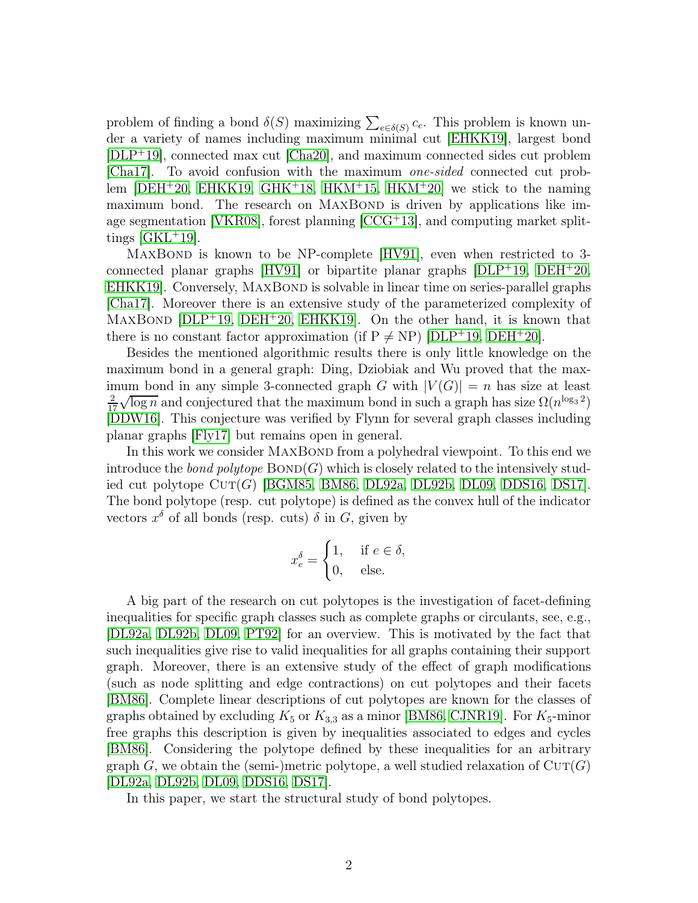problem of finding a bond  $\delta(S)$  maximizing  $\sum_{e \in \delta(S)} c_e$ . This problem is known under a variety of names including maximum minimal cut [\[EHKK19\]](#page-26-0), largest bond [\[DLP](#page-26-1)<sup>+</sup>19], connected max cut [\[Cha20\]](#page-26-2), and maximum connected sides cut problem [\[Cha17\]](#page-26-3). To avoid confusion with the maximum one-sided connected cut problem  $[DEH<sup>+</sup>20$ , [EHKK19,](#page-26-0) GHK<sup>+</sup>18, HKM<sup>+</sup>15, HKM<sup>+</sup>20 we stick to the naming maximum bond. The research on MAXBOND is driven by applications like image segmentation [\[VKR08\]](#page-27-1), forest planning [\[CCG](#page-26-5)<sup>+</sup>13], and computing market splittings  $[GKL+19]$ .

MAXBOND is known to be NP-complete [\[HV91\]](#page-27-3), even when restricted to 3connected planar graphs  $[HV91]$  or bipartite planar graphs  $[DLP<sup>+</sup>19, DEH<sup>+</sup>20,$  $[DLP<sup>+</sup>19, DEH<sup>+</sup>20,$  $[DLP<sup>+</sup>19, DEH<sup>+</sup>20,$ EHKK19. Conversely, MAXBOND is solvable in linear time on series-parallel graphs [\[Cha17\]](#page-26-3). Moreover there is an extensive study of the parameterized complexity of MAXBOND  $[DLP^+19, DEH^+20, EHKK19]$  $[DLP^+19, DEH^+20, EHKK19]$  $[DLP^+19, DEH^+20, EHKK19]$  $[DLP^+19, DEH^+20, EHKK19]$  $[DLP^+19, DEH^+20, EHKK19]$ . On the other hand, it is known that there is no constant factor approximation (if  $P \neq NP$ ) [\[DLP](#page-26-1)+19, [DEH](#page-26-4)+20].

Besides the mentioned algorithmic results there is only little knowledge on the maximum bond in a general graph: Ding, Dziobiak and Wu proved that the maximum bond in any simple 3-connected graph G with  $|V(G)| = n$  has size at least 2 17  $\sqrt{\log n}$  and conjectured that the maximum bond in such a graph has size  $\Omega(n^{\log_3 2})$ [\[DDW16\]](#page-26-6). This conjecture was verified by Flynn for several graph classes including planar graphs [\[Fly17\]](#page-26-7) but remains open in general.

In this work we consider MAXBOND from a polyhedral viewpoint. To this end we introduce the bond polytope  $BOND(G)$  which is closely related to the intensively studied cut polytope  $\text{CUT}(G)$  [\[BGM85,](#page-25-0) [BM86,](#page-26-8) [DL92a,](#page-26-9) [DL92b,](#page-26-10) [DL09,](#page-26-11) DDS16, [DS17\]](#page-26-12). The bond polytope (resp. cut polytope) is defined as the convex hull of the indicator vectors  $x^{\delta}$  of all bonds (resp. cuts)  $\delta$  in  $G$ , given by

$$
x_e^{\delta} = \begin{cases} 1, & \text{if } e \in \delta, \\ 0, & \text{else.} \end{cases}
$$

A big part of the research on cut polytopes is the investigation of facet-defining inequalities for specific graph classes such as complete graphs or circulants, see, e.g., [\[DL92a,](#page-26-9) [DL92b,](#page-26-10) [DL09,](#page-26-11) [PT92\]](#page-27-4) for an overview. This is motivated by the fact that such inequalities give rise to valid inequalities for all graphs containing their support graph. Moreover, there is an extensive study of the effect of graph modifications (such as node splitting and edge contractions) on cut polytopes and their facets [\[BM86\]](#page-26-8). Complete linear descriptions of cut polytopes are known for the classes of graphs obtained by excluding  $K_5$  or  $K_{3,3}$  as a minor [\[BM86,](#page-26-8) [CJNR19\]](#page-26-13). For  $K_5$ -minor free graphs this description is given by inequalities associated to edges and cycles [\[BM86\]](#page-26-8). Considering the polytope defined by these inequalities for an arbitrary graph G, we obtain the (semi-)metric polytope, a well studied relaxation of  $\text{CUT}(G)$ [\[DL92a,](#page-26-9) [DL92b,](#page-26-10) [DL09,](#page-26-11) DDS16, [DS17\]](#page-26-12).

In this paper, we start the structural study of bond polytopes.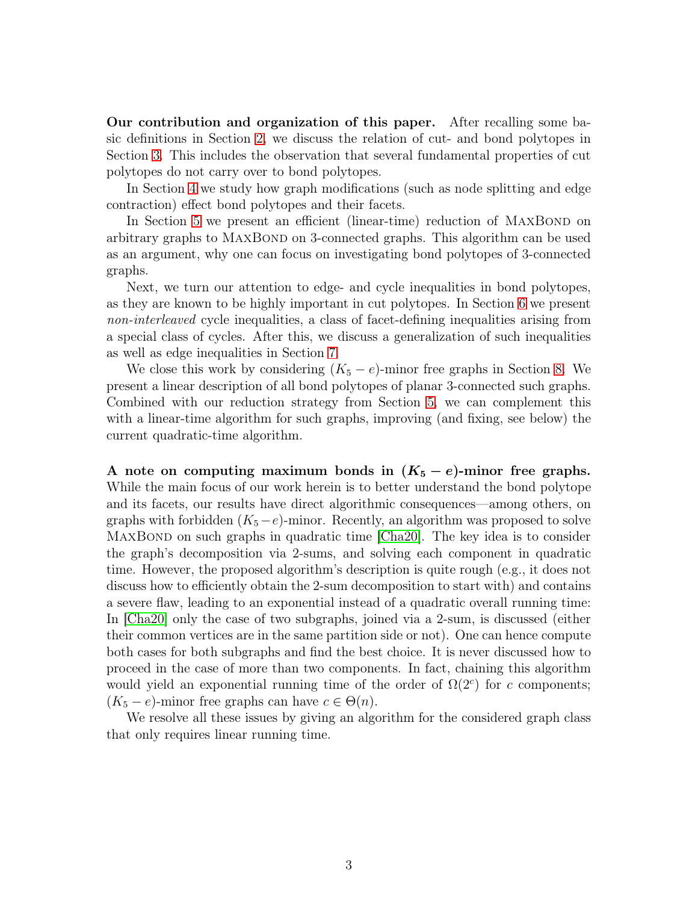Our contribution and organization of this paper. After recalling some basic definitions in Section [2,](#page-3-0) we discuss the relation of cut- and bond polytopes in Section [3.](#page-4-0) This includes the observation that several fundamental properties of cut polytopes do not carry over to bond polytopes.

In Section [4](#page-7-0) we study how graph modifications (such as node splitting and edge contraction) effect bond polytopes and their facets.

In Section [5](#page-12-0) we present an efficient (linear-time) reduction of MAXBOND on arbitrary graphs to MAXBOND on 3-connected graphs. This algorithm can be used as an argument, why one can focus on investigating bond polytopes of 3-connected graphs.

Next, we turn our attention to edge- and cycle inequalities in bond polytopes, as they are known to be highly important in cut polytopes. In Section [6](#page-15-0) we present non-interleaved cycle inequalities, a class of facet-defining inequalities arising from a special class of cycles. After this, we discuss a generalization of such inequalities as well as edge inequalities in Section [7.](#page-19-0)

We close this work by considering  $(K_5 - e)$ -minor free graphs in Section [8.](#page-22-0) We present a linear description of all bond polytopes of planar 3-connected such graphs. Combined with our reduction strategy from Section [5,](#page-12-0) we can complement this with a linear-time algorithm for such graphs, improving (and fixing, see below) the current quadratic-time algorithm.

A note on computing maximum bonds in  $(K_5 - e)$ -minor free graphs. While the main focus of our work herein is to better understand the bond polytope and its facets, our results have direct algorithmic consequences—among others, on graphs with forbidden  $(K_5-e)$ -minor. Recently, an algorithm was proposed to solve MAXBOND on such graphs in quadratic time [\[Cha20\]](#page-26-2). The key idea is to consider the graph's decomposition via 2-sums, and solving each component in quadratic time. However, the proposed algorithm's description is quite rough (e.g., it does not discuss how to efficiently obtain the 2-sum decomposition to start with) and contains a severe flaw, leading to an exponential instead of a quadratic overall running time: In [\[Cha20\]](#page-26-2) only the case of two subgraphs, joined via a 2-sum, is discussed (either their common vertices are in the same partition side or not). One can hence compute both cases for both subgraphs and find the best choice. It is never discussed how to proceed in the case of more than two components. In fact, chaining this algorithm would yield an exponential running time of the order of  $\Omega(2^c)$  for c components;  $(K_5 - e)$ -minor free graphs can have  $c \in \Theta(n)$ .

We resolve all these issues by giving an algorithm for the considered graph class that only requires linear running time.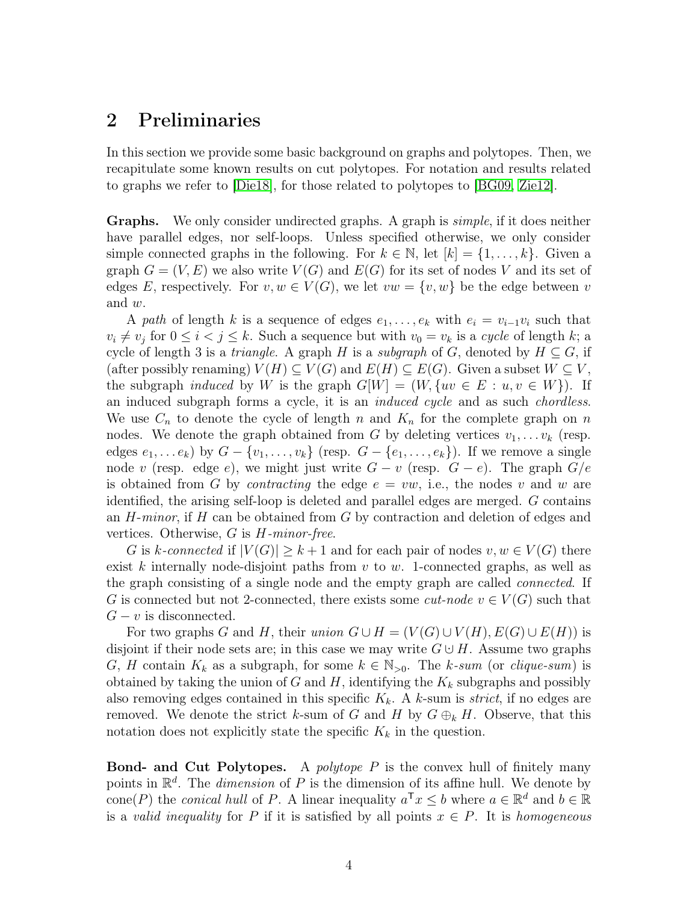#### <span id="page-3-0"></span>2 Preliminaries

In this section we provide some basic background on graphs and polytopes. Then, we recapitulate some known results on cut polytopes. For notation and results related to graphs we refer to [\[Die18\]](#page-26-14), for those related to polytopes to [\[BG09,](#page-25-1) [Zie12\]](#page-27-5).

Graphs. We only consider undirected graphs. A graph is simple, if it does neither have parallel edges, nor self-loops. Unless specified otherwise, we only consider simple connected graphs in the following. For  $k \in \mathbb{N}$ , let  $[k] = \{1, \ldots, k\}$ . Given a graph  $G = (V, E)$  we also write  $V(G)$  and  $E(G)$  for its set of nodes V and its set of edges E, respectively. For  $v, w \in V(G)$ , we let  $vw = \{v, w\}$  be the edge between v and w.

A path of length k is a sequence of edges  $e_1, \ldots, e_k$  with  $e_i = v_{i-1}v_i$  such that  $v_i \neq v_j$  for  $0 \leq i \leq j \leq k$ . Such a sequence but with  $v_0 = v_k$  is a cycle of length k; a cycle of length 3 is a *triangle*. A graph H is a *subgraph* of G, denoted by  $H \subseteq G$ , if (after possibly renaming)  $V(H) \subseteq V(G)$  and  $E(H) \subseteq E(G)$ . Given a subset  $W \subseteq V$ , the subgraph *induced* by W is the graph  $G[W] = (W, \{uv \in E : u, v \in W\})$ . If an induced subgraph forms a cycle, it is an *induced cycle* and as such *chordless*. We use  $C_n$  to denote the cycle of length n and  $K_n$  for the complete graph on n nodes. We denote the graph obtained from G by deleting vertices  $v_1, \ldots v_k$  (resp. edges  $e_1, \ldots e_k$ ) by  $G - \{v_1, \ldots, v_k\}$  (resp.  $G - \{e_1, \ldots, e_k\}$ ). If we remove a single node v (resp. edge e), we might just write  $G - v$  (resp.  $G - e$ ). The graph  $G/e$ is obtained from G by *contracting* the edge  $e = vw$ , i.e., the nodes v and w are identified, the arising self-loop is deleted and parallel edges are merged. G contains an  $H$ -minor, if  $H$  can be obtained from  $G$  by contraction and deletion of edges and vertices. Otherwise,  $G$  is  $H$ -minor-free.

G is k-connected if  $|V(G)| \geq k+1$  and for each pair of nodes  $v, w \in V(G)$  there exist k internally node-disjoint paths from  $v$  to  $w$ . 1-connected graphs, as well as the graph consisting of a single node and the empty graph are called connected. If G is connected but not 2-connected, there exists some *cut-node*  $v \in V(G)$  such that  $G - v$  is disconnected.

For two graphs G and H, their union  $G \cup H = (V(G) \cup V(H), E(G) \cup E(H))$  is disjoint if their node sets are; in this case we may write  $G \cup H$ . Assume two graphs G, H contain  $K_k$  as a subgraph, for some  $k \in \mathbb{N}_{>0}$ . The k-sum (or clique-sum) is obtained by taking the union of G and H, identifying the  $K_k$  subgraphs and possibly also removing edges contained in this specific  $K_k$ . A k-sum is *strict*, if no edges are removed. We denote the strict k-sum of G and H by  $G \oplus_k H$ . Observe, that this notation does not explicitly state the specific  $K_k$  in the question.

**Bond- and Cut Polytopes.** A *polytope P* is the convex hull of finitely many points in  $\mathbb{R}^d$ . The *dimension* of P is the dimension of its affine hull. We denote by cone(P) the *conical hull* of P. A linear inequality  $a^{\mathsf{T}} x \leq b$  where  $a \in \mathbb{R}^d$  and  $b \in \mathbb{R}$ is a valid inequality for P if it is satisfied by all points  $x \in P$ . It is homogeneous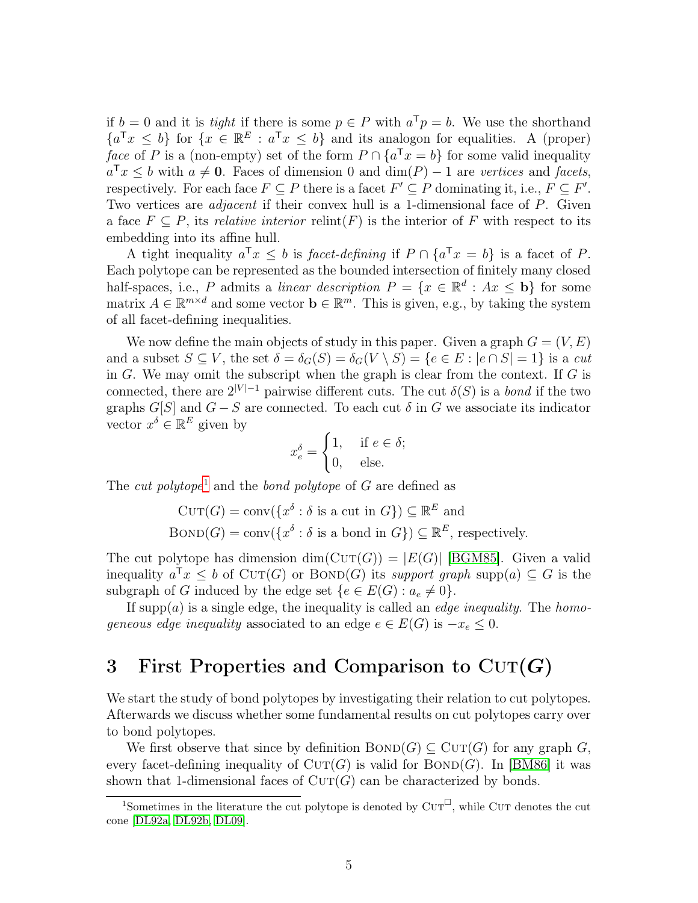if  $b = 0$  and it is *tight* if there is some  $p \in P$  with  $a^T p = b$ . We use the shorthand  ${a^{\mathsf{T}}x \leq b}$  for  ${x \in \mathbb{R}^E : a^{\mathsf{T}}x \leq b}$  and its analogon for equalities. A (proper) face of P is a (non-empty) set of the form  $P \cap \{a^T x = b\}$  for some valid inequality  $a^{\mathsf{T}}x \leq b$  with  $a \neq 0$ . Faces of dimension 0 and  $\dim(P) - 1$  are vertices and facets, respectively. For each face  $F \subseteq P$  there is a facet  $F' \subseteq P$  dominating it, i.e.,  $F \subseteq F'$ . Two vertices are *adjacent* if their convex hull is a 1-dimensional face of P. Given a face  $F \subseteq P$ , its relative interior relint(F) is the interior of F with respect to its embedding into its affine hull.

A tight inequality  $a^{\mathsf{T}} x \leq b$  is facet-defining if  $P \cap \{a^{\mathsf{T}} x = b\}$  is a facet of P. Each polytope can be represented as the bounded intersection of finitely many closed half-spaces, i.e., P admits a linear description  $P = \{x \in \mathbb{R}^d : Ax \leq b\}$  for some matrix  $A \in \mathbb{R}^{m \times d}$  and some vector  $\mathbf{b} \in \mathbb{R}^m$ . This is given, e.g., by taking the system of all facet-defining inequalities.

We now define the main objects of study in this paper. Given a graph  $G = (V, E)$ and a subset  $S \subseteq V$ , the set  $\delta = \delta_G(S) = \delta_G(V \setminus S) = \{e \in E : |e \cap S| = 1\}$  is a cut in  $G$ . We may omit the subscript when the graph is clear from the context. If  $G$  is connected, there are  $2^{|V|-1}$  pairwise different cuts. The cut  $\delta(S)$  is a bond if the two graphs  $G[S]$  and  $G - S$  are connected. To each cut  $\delta$  in G we associate its indicator vector  $x^{\delta} \in \mathbb{R}^{E}$  given by

$$
x_e^{\delta} = \begin{cases} 1, & \text{if } e \in \delta; \\ 0, & \text{else.} \end{cases}
$$

The *cut polytope*<sup>[1](#page-4-1)</sup> and the *bond polytope* of  $G$  are defined as

$$
CUT(G) = conv({xδ : δ is a cut in G}) ⊆ ℝE and
$$
  
BOND(G) = conv({x<sup>δ</sup> : δ is a bond in G}) ⊆ ℝ<sup>E</sup>, respectively.

The cut polytope has dimension  $dim(CUT(G)) = |E(G)|$  [\[BGM85\]](#page-25-0). Given a valid inequality  $a^{\mathsf{T}} x \leq b$  of  $\text{CUT}(G)$  or  $\text{BOND}(G)$  its support graph supp $(a) \subseteq G$  is the subgraph of G induced by the edge set  $\{e \in E(G) : a_e \neq 0\}.$ 

If supp $(a)$  is a single edge, the inequality is called an *edge inequality*. The *homo*geneous edge inequality associated to an edge  $e \in E(G)$  is  $-x_e \leq 0$ .

## <span id="page-4-0"></span>3 First Properties and Comparison to  $CUT(G)$

We start the study of bond polytopes by investigating their relation to cut polytopes. Afterwards we discuss whether some fundamental results on cut polytopes carry over to bond polytopes.

We first observe that since by definition  $BOND(G) \subseteq CUT(G)$  for any graph G, every facet-defining inequality of  $CUT(G)$  is valid for  $BOND(G)$ . In [\[BM86\]](#page-26-8) it was shown that 1-dimensional faces of  $CUT(G)$  can be characterized by bonds.

<span id="page-4-2"></span><span id="page-4-1"></span><sup>&</sup>lt;sup>1</sup>Sometimes in the literature the cut polytope is denoted by  $\text{CUT}^{\square}$ , while CUT denotes the cut cone [\[DL92a,](#page-26-9) [DL92b,](#page-26-10) [DL09\]](#page-26-11).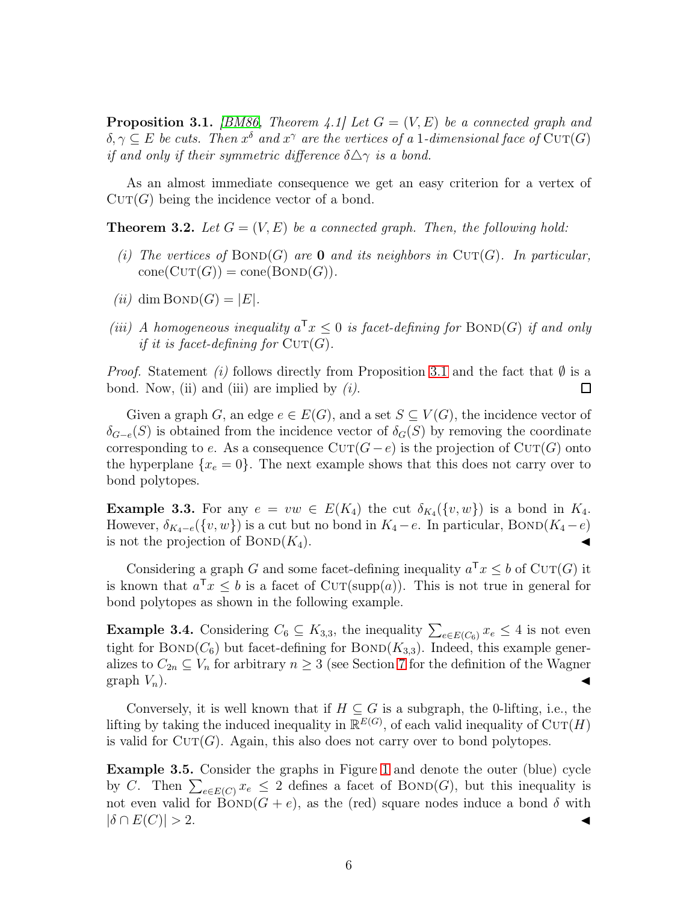**Proposition 3.1.** [\[BM86,](#page-26-8) Theorem 4.1] Let  $G = (V, E)$  be a connected graph and  $\delta, \gamma \subseteq E$  be cuts. Then  $x^{\delta}$  and  $x^{\gamma}$  are the vertices of a 1-dimensional face of  $\mathrm{CUT}(G)$ if and only if their symmetric difference  $\delta \Delta \gamma$  is a bond.

<span id="page-5-1"></span>As an almost immediate consequence we get an easy criterion for a vertex of  $CUT(G)$  being the incidence vector of a bond.

**Theorem 3.2.** Let  $G = (V, E)$  be a connected graph. Then, the following hold:

- (i) The vertices of  $BOND(G)$  are 0 and its neighbors in  $CUT(G)$ . In particular,  $cone(Cur(G)) = cone(BOND(G)).$
- (ii) dim  $BOND(G) = |E|$ .
- (iii) A homogeneous inequality  $a^{\mathsf{T}} x \leq 0$  is facet-defining for  $\text{BOND}(G)$  if and only if it is facet-defining for  $\mathrm{CUT}(G)$ .

*Proof.* Statement (i) follows directly from Proposition [3.1](#page-4-2) and the fact that  $\emptyset$  is a bond. Now, (ii) and (iii) are implied by (i). bond. Now, (ii) and (iii) are implied by  $(i)$ .

Given a graph G, an edge  $e \in E(G)$ , and a set  $S \subseteq V(G)$ , the incidence vector of  $\delta_{G-e}(S)$  is obtained from the incidence vector of  $\delta_G(S)$  by removing the coordinate corresponding to e. As a consequence  $CUT(G-e)$  is the projection of  $CUT(G)$  onto the hyperplane  $\{x_e = 0\}$ . The next example shows that this does not carry over to bond polytopes.

**Example 3.3.** For any  $e = vw \in E(K_4)$  the cut  $\delta_{K_4}(\{v, w\})$  is a bond in  $K_4$ . However,  $\delta_{K_4-e}(\lbrace v, w \rbrace)$  is a cut but no bond in  $K_4 - e$ . In particular, BOND( $K_4 - e$ ) is not the projection of  $\text{BOND}(K_4)$ .

Considering a graph G and some facet-defining inequality  $a^{\mathsf{T}} x \leq b$  of CUT(G) it is known that  $a^{\mathsf{T}} x \leq b$  is a facet of  $\text{CUT}(\text{supp}(a))$ . This is not true in general for bond polytopes as shown in the following example.

**Example 3.4.** Considering  $C_6 \subseteq K_{3,3}$ , the inequality  $\sum_{e \in E(C_6)} x_e \leq 4$  is not even tight for  $BOND(C_6)$  but facet-defining for  $BOND(K_{3,3})$ . Indeed, this example generalizes to  $C_{2n} \subseteq V_n$  for arbitrary  $n \geq 3$  (see Section [7](#page-19-0) for the definition of the Wagner graph  $V_n$ ). graph  $V_n$ ).

Conversely, it is well known that if  $H \subseteq G$  is a subgraph, the 0-lifting, i.e., the lifting by taking the induced inequality in  $\mathbb{R}^{E(G)}$ , of each valid inequality of  $\text{CUT}(H)$ is valid for  $CUT(G)$ . Again, this also does not carry over to bond polytopes.

<span id="page-5-0"></span>Example 3.5. Consider the graphs in Figure [1](#page-6-0) and denote the outer (blue) cycle by C. Then  $\sum_{e \in E(C)} x_e \leq 2$  defines a facet of BOND(G), but this inequality is not even valid for  $\text{BOND}(G + e)$ , as the (red) square nodes induce a bond  $\delta$  with  $|\delta \cap E(C)| > 2.$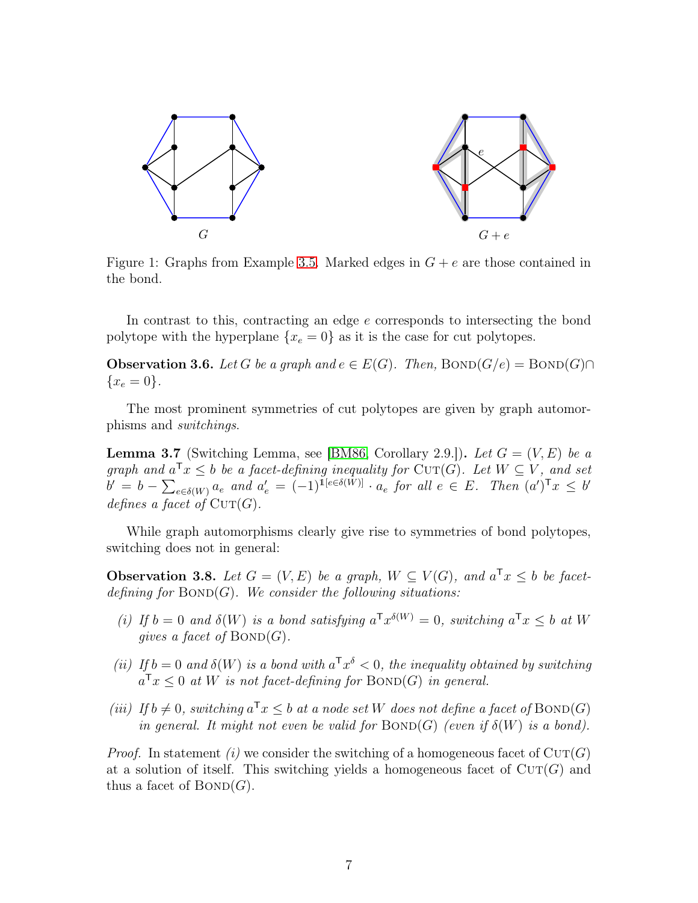<span id="page-6-0"></span>

Figure 1: Graphs from Example [3.5.](#page-5-0) Marked edges in  $G + e$  are those contained in the bond.

In contrast to this, contracting an edge e corresponds to intersecting the bond polytope with the hyperplane  $\{x_e = 0\}$  as it is the case for cut polytopes.

**Observation 3.6.** Let G be a graph and  $e \in E(G)$ . Then,  $BOND(G/e) = BOND(G) \cap$  ${x_e = 0}.$ 

The most prominent symmetries of cut polytopes are given by graph automorphisms and switchings.

**Lemma 3.7** (Switching Lemma, see [\[BM86,](#page-26-8) Corollary 2.9.]). Let  $G = (V, E)$  be a graph and  $a^{\mathsf{T}}x \leq b$  be a facet-defining inequality for  $\text{CUT}(G)$ . Let  $W \subseteq V$ , and set  $b' = b - \sum_{e \in \delta(W)} a_e$  and  $a'_e = (-1)^{\tilde{1}[e \in \delta(\tilde{W})]} \cdot a_e$  for all  $e \in E$ . Then  $(a')^{\mathsf{T}} x \leq b'$ defines a facet of  $\mathrm{CUT}(G)$ .

While graph automorphisms clearly give rise to symmetries of bond polytopes, switching does not in general:

**Observation 3.8.** Let  $G = (V, E)$  be a graph,  $W \subseteq V(G)$ , and  $a^{\mathsf{T}}x \leq b$  be facetdefining for  $BOND(G)$ . We consider the following situations:

- (i) If  $b = 0$  and  $\delta(W)$  is a bond satisfying  $a^{\mathsf{T}} x^{\delta(W)} = 0$ , switching  $a^{\mathsf{T}} x \leq b$  at W gives a facet of  $BOND(G)$ .
- (ii) If  $b = 0$  and  $\delta(W)$  is a bond with  $a^T x^{\delta} < 0$ , the inequality obtained by switching  $a^{\mathsf{T}} x \leq 0$  at W is not facet-defining for BOND(G) in general.
- (iii) If  $b \neq 0$ , switching  $a^{\mathsf{T}} x \leq b$  at a node set W does not define a facet of  $\mathrm{BOND}(G)$ in general. It might not even be valid for  $\text{BOND}(G)$  (even if  $\delta(W)$  is a bond).

*Proof.* In statement (i) we consider the switching of a homogeneous facet of  $CUT(G)$ at a solution of itself. This switching yields a homogeneous facet of  $\text{CUT}(G)$  and thus a facet of  $BOND(G)$ .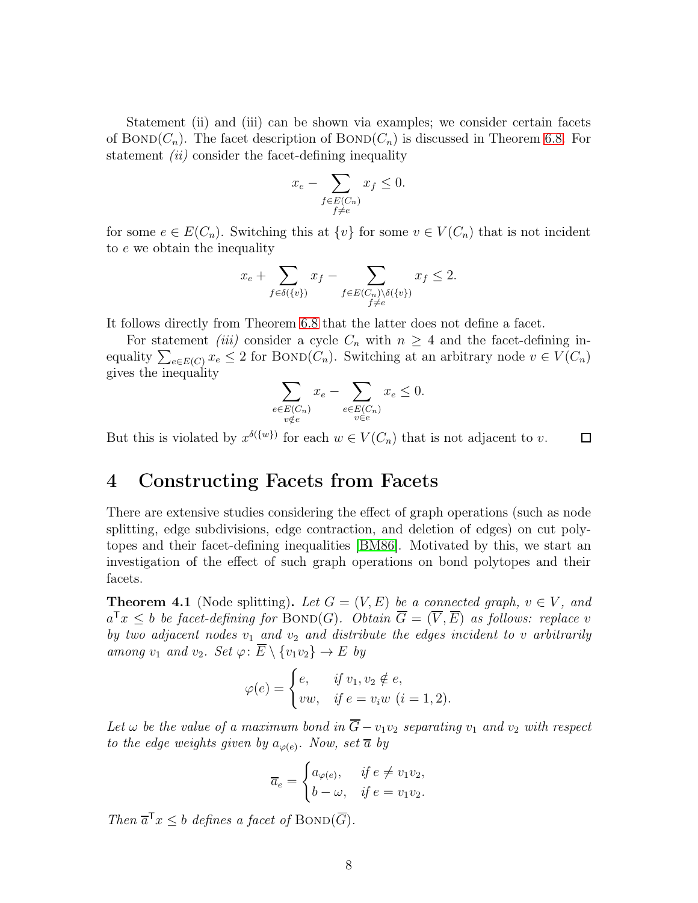Statement (ii) and (iii) can be shown via examples; we consider certain facets of BOND( $C_n$ ). The facet description of BOND( $C_n$ ) is discussed in Theorem [6.8.](#page-19-1) For statement  $(ii)$  consider the facet-defining inequality

$$
x_e - \sum_{\substack{f \in E(C_n) \\ f \neq e}} x_f \le 0.
$$

for some  $e \in E(C_n)$ . Switching this at  $\{v\}$  for some  $v \in V(C_n)$  that is not incident to e we obtain the inequality

$$
x_e + \sum_{f \in \delta(\{v\})} x_f - \sum_{\substack{f \in E(C_n) \setminus \delta(\{v\}) \\ f \neq e}} x_f \le 2.
$$

It follows directly from Theorem [6.8](#page-19-1) that the latter does not define a facet.

For statement *(iii)* consider a cycle  $C_n$  with  $n \geq 4$  and the facet-defining inequality  $\sum_{e \in E(C)} x_e \leq 2$  for BOND( $C_n$ ). Switching at an arbitrary node  $v \in V(C_n)$ gives the inequality

$$
\sum_{\substack{e \in E(C_n) \\ v \notin e}} x_e - \sum_{\substack{e \in E(C_n) \\ v \in e}} x_e \le 0.
$$

<span id="page-7-0"></span>But this is violated by  $x^{\delta({w})}$  for each  $w \in V(C_n)$  that is not adjacent to v.  $\Box$ 

#### 4 Constructing Facets from Facets

There are extensive studies considering the effect of graph operations (such as node splitting, edge subdivisions, edge contraction, and deletion of edges) on cut polytopes and their facet-defining inequalities [\[BM86\]](#page-26-8). Motivated by this, we start an investigation of the effect of such graph operations on bond polytopes and their facets.

<span id="page-7-1"></span>**Theorem 4.1** (Node splitting). Let  $G = (V, E)$  be a connected graph,  $v \in V$ , and  $a^{\mathsf{T}}x \leq b$  be facet-defining for  $\text{BOND}(G)$ . Obtain  $\overline{G} = (\overline{V}, \overline{E})$  as follows: replace v by two adjacent nodes  $v_1$  and  $v_2$  and distribute the edges incident to v arbitrarily among  $v_1$  and  $v_2$ . Set  $\varphi: \overline{E} \setminus \{v_1v_2\} \to E$  by

$$
\varphi(e) = \begin{cases} e, & \text{if } v_1, v_2 \notin e, \\ vw, & \text{if } e = v_i w \ (i = 1, 2). \end{cases}
$$

Let  $\omega$  be the value of a maximum bond in  $\overline{G}-v_1v_2$  separating  $v_1$  and  $v_2$  with respect to the edge weights given by  $a_{\varphi(e)}$ . Now, set  $\overline{a}$  by

$$
\overline{a}_e = \begin{cases} a_{\varphi(e)}, & \text{if } e \neq v_1 v_2, \\ b - \omega, & \text{if } e = v_1 v_2. \end{cases}
$$

Then  $\overline{a}^{\mathsf{T}} x \leq b$  defines a facet of  $\text{BOND}(\overline{G})$ .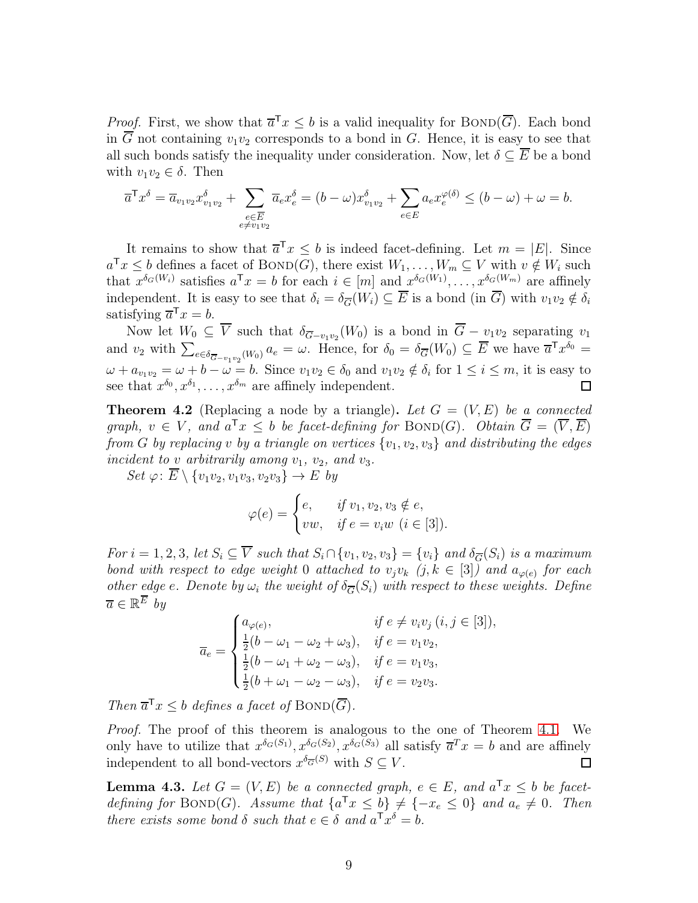*Proof.* First, we show that  $\overline{a}^T x \leq b$  is a valid inequality for  $\text{BOND}(\overline{G})$ . Each bond in  $\overline{G}$  not containing  $v_1v_2$  corresponds to a bond in G. Hence, it is easy to see that all such bonds satisfy the inequality under consideration. Now, let  $\delta \subseteq E$  be a bond with  $v_1v_2 \in \delta$ . Then

$$
\overline{a}^{\mathsf{T}} x^{\delta} = \overline{a}_{v_1 v_2} x^{\delta}_{v_1 v_2} + \sum_{\substack{e \in \overline{E} \\ e \neq v_1 v_2}} \overline{a}_e x^{\delta}_e = (b - \omega) x^{\delta}_{v_1 v_2} + \sum_{e \in E} a_e x^{\varphi(\delta)}_e \le (b - \omega) + \omega = b.
$$

It remains to show that  $\overline{a}^T x \leq b$  is indeed facet-defining. Let  $m = |E|$ . Since  $a^{\mathsf{T}}x \leq b$  defines a facet of  $\text{BOND}(G)$ , there exist  $W_1, \ldots, W_m \subseteq V$  with  $v \notin W_i$  such that  $x^{\delta_G(W_i)}$  satisfies  $a^{\mathsf{T}} x = b$  for each  $i \in [m]$  and  $x^{\delta_G(W_1)}, \ldots, x^{\delta_G(W_m)}$  are affinely independent. It is easy to see that  $\delta_i = \delta_{\overline{G}}(W_i) \subseteq \overline{E}$  is a bond (in  $\overline{G}$ ) with  $v_1v_2 \notin \delta_i$ satisfying  $\overline{a}^{\mathsf{T}} x = b$ .

Now let  $W_0 \subseteq V$  such that  $\delta_{\overline{G}-v_1v_2}(W_0)$  is a bond in  $G-v_1v_2$  separating  $v_1$ and  $v_2$  with  $\sum_{e \in \delta_{\overline{G}-v_1v_2}(W_0)} a_e = \omega$ . Hence, for  $\delta_0 = \delta_{\overline{G}}(W_0) \subseteq \overline{E}$  we have  $\overline{a}^T x^{\delta_0} =$  $\omega + a_{v_1v_2} = \omega + b - \omega = b.$  Since  $v_1v_2 \in \delta_0$  and  $v_1v_2 \notin \delta_i$  for  $1 \le i \le m$ , it is easy to see that  $x^{\delta_0}, x^{\delta_1}, \ldots, x^{\delta_m}$  are affinely independent.

**Theorem 4.2** (Replacing a node by a triangle). Let  $G = (V, E)$  be a connected graph,  $v \in V$ , and  $a^{\mathsf{T}}x \leq b$  be facet-defining for  $\text{BOND}(G)$ . Obtain  $\overline{G} = (\overline{V}, \overline{E})$ from G by replacing v by a triangle on vertices  $\{v_1, v_2, v_3\}$  and distributing the edges incident to v arbitrarily among  $v_1$ ,  $v_2$ , and  $v_3$ .

 $Set \varphi: \overline{E} \setminus \{v_1v_2, v_1v_3, v_2v_3\} \to E$  by

$$
\varphi(e) = \begin{cases} e, & \text{if } v_1, v_2, v_3 \notin e, \\ vw, & \text{if } e = v_i w \ (i \in [3]). \end{cases}
$$

For  $i = 1, 2, 3$ , let  $S_i \subseteq \overline{V}$  such that  $S_i \cap \{v_1, v_2, v_3\} = \{v_i\}$  and  $\delta_{\overline{G}}(S_i)$  is a maximum bond with respect to edge weight 0 attached to  $v_jv_k$   $(j, k \in [3])$  and  $a_{\varphi(e)}$  for each other edge e. Denote by  $\omega_i$  the weight of  $\delta_{\overline{G}}(S_i)$  with respect to these weights. Define  $\overline{a} \in \mathbb{R}^E$  by

$$
\overline{a}_e = \begin{cases}\na_{\varphi(e)}, & \text{if } e \neq v_i v_j \ (i, j \in [3]), \\
\frac{1}{2}(b - \omega_1 - \omega_2 + \omega_3), & \text{if } e = v_1 v_2, \\
\frac{1}{2}(b - \omega_1 + \omega_2 - \omega_3), & \text{if } e = v_1 v_3, \\
\frac{1}{2}(b + \omega_1 - \omega_2 - \omega_3), & \text{if } e = v_2 v_3.\n\end{cases}
$$

Then  $\overline{a}^{\mathsf{T}} x \leq b$  defines a facet of  $\text{BOND}(\overline{G})$ .

Proof. The proof of this theorem is analogous to the one of Theorem [4.1.](#page-7-1) We only have to utilize that  $x^{\delta_G(S_1)}$ ,  $x^{\delta_G(S_2)}$ ,  $x^{\delta_G(S_3)}$  all satisfy  $\overline{a}^T x = b$  and are affinely independent to all bond-vectors  $x^{\delta_{\overline{G}}(S)}$  with  $S \subseteq V$ .  $\Box$ 

<span id="page-8-0"></span>**Lemma 4.3.** Let  $G = (V, E)$  be a connected graph,  $e \in E$ , and  $a^Tx \leq b$  be facetdefining for BOND(G). Assume that  $\{a^{\mathsf{T}}x \leq b\} \neq \{-x_e \leq 0\}$  and  $a_e \neq 0$ . Then there exists some bond  $\delta$  such that  $e \in \delta$  and  $a^T x^{\delta} = b$ .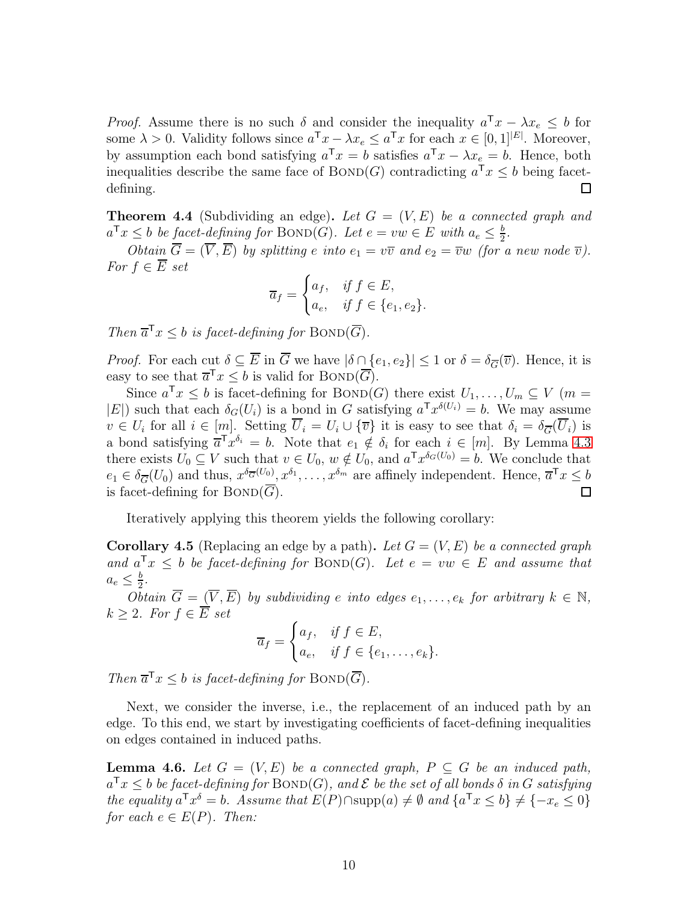*Proof.* Assume there is no such  $\delta$  and consider the inequality  $a^Tx - \lambda x_e \leq b$  for some  $\lambda > 0$ . Validity follows since  $a^{\mathsf{T}} x - \lambda x_e \le a^{\mathsf{T}} x$  for each  $x \in [0,1]^{|E|}$ . Moreover, by assumption each bond satisfying  $a^{\mathsf{T}}x = b$  satisfies  $a^{\mathsf{T}}x - \lambda x_e = b$ . Hence, both inequalities describe the same face of  $\text{BOND}(G)$  contradicting  $a^{\mathsf{T}} x \leq b$  being facetdefining. □

**Theorem 4.4** (Subdividing an edge). Let  $G = (V, E)$  be a connected graph and  $a^{\mathsf{T}}x \leq b$  be <u>facet-defining</u> for  $\text{BOND}(G)$ . Let  $e = vw \in E$  with  $a_e \leq \frac{b}{2}$  $\frac{b}{2}$ .

Obtain  $\overline{G} = (\overline{V}, \overline{E})$  by splitting e into  $e_1 = v\overline{v}$  and  $e_2 = \overline{v}w$  (for a new node  $\overline{v}$ ). For  $f \in \overline{E}$  set

$$
\overline{a}_f = \begin{cases} a_f, & \text{if } f \in E, \\ a_e, & \text{if } f \in \{e_1, e_2\}. \end{cases}
$$

Then  $\overline{a}^{\mathsf{T}} x \leq b$  is facet-defining for  $\text{BOND}(\overline{G})$ .

*Proof.* For each cut  $\delta \subseteq \overline{E}$  in  $\overline{G}$  we have  $|\delta \cap \{e_1, e_2\}| \leq 1$  or  $\delta = \delta_{\overline{G}}(\overline{v})$ . Hence, it is easy to see that  $\overline{a}^{\mathsf{T}} x \leq b$  is valid for  $\text{BOND}(\overline{G})$ .

Since  $a^{\mathsf{T}} x \leq b$  is facet-defining for  $\text{BOND}(G)$  there exist  $U_1, \ldots, U_m \subseteq V$  (m =  $|E|$ ) such that each  $\delta_G(U_i)$  is a bond in G satisfying  $a^{\mathsf{T}} x^{\delta(U_i)} = b$ . We may assume  $v \in U_i$  for all  $i \in [m]$ . Setting  $U_i = U_i \cup {\overline{v}}$  it is easy to see that  $\delta_i = \delta_{\overline{G}}(U_i)$  is a bond satisfying  $\overline{a}^T x^{\delta_i} = b$ . Note that  $e_1 \notin \delta_i$  for each  $i \in [m]$ . By Lemma [4.3](#page-8-0) there exists  $U_0 \subseteq V$  such that  $v \in U_0$ ,  $w \notin U_0$ , and  $a^{\mathsf{T}} x^{\delta_G(U_0)} = b$ . We conclude that  $e_1 \in \delta_{\overline{G}}(U_0)$  and thus,  $x^{\delta_{\overline{G}}(U_0)}$ ,  $x^{\delta_1}, \ldots, x^{\delta_m}$  are affinely independent. Hence,  $\overline{a}^{\mathsf{T}} x \leq b$ is facet-defining for  $BOND(\overline{G})$ .

Iteratively applying this theorem yields the following corollary:

**Corollary 4.5** (Replacing an edge by a path). Let  $G = (V, E)$  be a connected graph and  $a^{\mathsf{T}} x \leq b$  be facet-defining for  $\text{BOND}(G)$ . Let  $e = vw \in E$  and assume that  $a_e \leq \frac{b}{2}$  $rac{b}{2}$ .

 $O$ *btain*  $\overline{G} = (\overline{V}, \overline{E})$  by subdividing e into edges  $e_1, \ldots, e_k$  for arbitrary  $k \in \mathbb{N}$ ,  $k \geq 2$ . For  $f \in \overline{E}$  set

$$
\overline{a}_f = \begin{cases} a_f, & \text{if } f \in E, \\ a_e, & \text{if } f \in \{e_1, \dots, e_k\}. \end{cases}
$$

Then  $\overline{a}^{\mathsf{T}} x \leq b$  is facet-defining for  $\text{BOND}(\overline{G})$ .

Next, we consider the inverse, i.e., the replacement of an induced path by an edge. To this end, we start by investigating coefficients of facet-defining inequalities on edges contained in induced paths.

<span id="page-9-0"></span>**Lemma 4.6.** Let  $G = (V, E)$  be a connected graph,  $P \subseteq G$  be an induced path,  $a^{\mathsf{T}} x \leq b$  be facet-defining for  $\mathrm{BOND}(G)$ , and  $\mathcal E$  be the set of all bonds  $\delta$  in  $G$  satisfying the equality  $a^{\mathsf{T}} x^{\delta} = b$ . Assume that  $E(P) \cap \text{supp}(a) \neq \emptyset$  and  $\{a^{\mathsf{T}} x \leq b\} \neq \{-x_e \leq 0\}$ for each  $e \in E(P)$ . Then: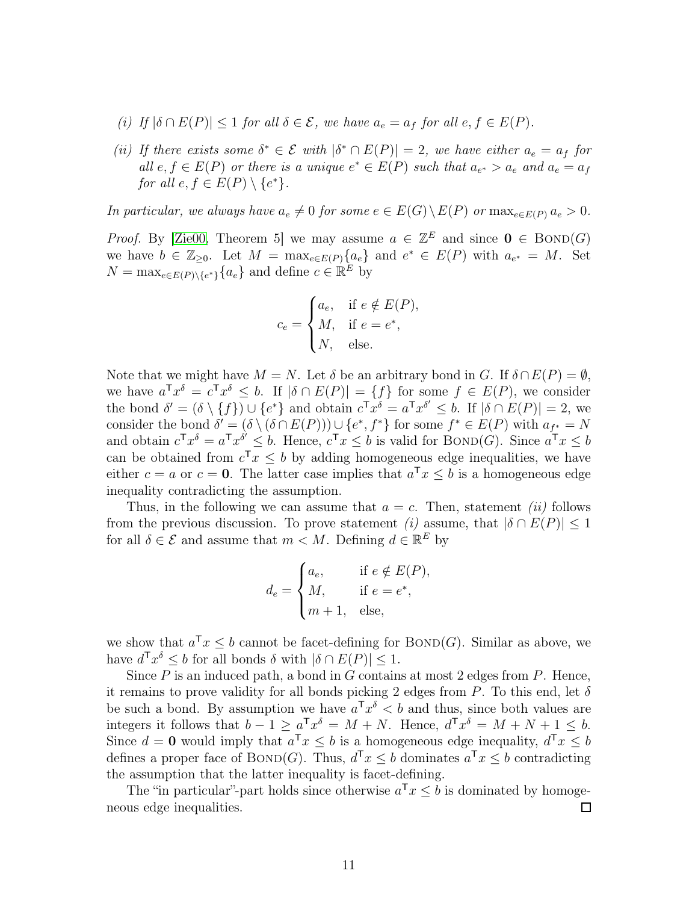- (i) If  $|\delta \cap E(P)| \leq 1$  for all  $\delta \in \mathcal{E}$ , we have  $a_e = a_f$  for all  $e, f \in E(P)$ .
- (ii) If there exists some  $\delta^* \in \mathcal{E}$  with  $|\delta^* \cap E(P)| = 2$ , we have either  $a_e = a_f$  for all  $e, f \in E(P)$  or there is a unique  $e^* \in E(P)$  such that  $a_{e^*} > a_e$  and  $a_e = a_f$ for all  $e, f \in E(P) \setminus \{e^*\}.$

In particular, we always have  $a_e \neq 0$  for some  $e \in E(G) \setminus E(P)$  or  $\max_{e \in E(P)} a_e > 0$ .

*Proof.* By [\[Zie00,](#page-27-6) Theorem 5] we may assume  $a \in \mathbb{Z}^E$  and since  $0 \in \text{BOND}(G)$ we have  $b \in \mathbb{Z}_{\geq 0}$ . Let  $M = \max_{e \in E(P)} \{a_e\}$  and  $e^* \in E(P)$  with  $a_{e^*} = M$ . Set  $N = \max_{e \in E(P) \setminus \{e^*\}} \{a_e\}$  and define  $c \in \mathbb{R}^E$  by

$$
c_e = \begin{cases} a_e, & \text{if } e \notin E(P), \\ M, & \text{if } e = e^*, \\ N, & \text{else.} \end{cases}
$$

Note that we might have  $M = N$ . Let  $\delta$  be an arbitrary bond in G. If  $\delta \cap E(P) = \emptyset$ , we have  $a^T x^{\delta} = c^T x^{\delta} \leq b$ . If  $|\delta \cap E(P)| = \{f\}$  for some  $f \in E(P)$ , we consider the bond  $\delta' = (\delta \setminus \{f\}) \cup \{e^*\}$  and obtain  $c^T x^{\delta} = a^T x^{\delta'} \leq b$ . If  $|\delta \cap E(P)| = 2$ , we consider the bond  $\delta' = (\delta \setminus (\delta \cap E(P))) \cup \{e^*, f^*\}\)$  for some  $f^* \in E(P)$  with  $a_{f^*} = N$ and obtain  $c^{\mathsf{T}} x^{\delta} = a^{\mathsf{T}} x^{\delta} \leq b$ . Hence,  $c^{\mathsf{T}} x \leq b$  is valid for BOND(G). Since  $a^{\mathsf{T}} x \leq b$ can be obtained from  $c^{\mathsf{T}} x \leq b$  by adding homogeneous edge inequalities, we have either  $c = a$  or  $c = 0$ . The latter case implies that  $a^{\mathsf{T}} x \leq b$  is a homogeneous edge inequality contradicting the assumption.

Thus, in the following we can assume that  $a = c$ . Then, statement *(ii)* follows from the previous discussion. To prove statement (i) assume, that  $|\delta \cap E(P)| \leq 1$ for all  $\delta \in \mathcal{E}$  and assume that  $m < M$ . Defining  $d \in \mathbb{R}^E$  by

$$
d_e = \begin{cases} a_e, & \text{if } e \notin E(P), \\ M, & \text{if } e = e^*, \\ m+1, & \text{else,} \end{cases}
$$

we show that  $a^{\mathsf{T}} x \leq b$  cannot be facet-defining for  $\text{BOND}(G)$ . Similar as above, we have  $d^{\mathsf{T}} x^{\delta} \leq b$  for all bonds  $\delta$  with  $|\delta \cap E(P)| \leq 1$ .

Since  $P$  is an induced path, a bond in  $G$  contains at most 2 edges from  $P$ . Hence, it remains to prove validity for all bonds picking 2 edges from P. To this end, let  $\delta$ be such a bond. By assumption we have  $a^Tx^{\delta} < b$  and thus, since both values are integers it follows that  $b - 1 \ge a^T x^{\delta} = M + N$ . Hence,  $d^T x^{\delta} = M + N + 1 \le b$ . Since  $d = 0$  would imply that  $a^{\mathsf{T}} x \leq b$  is a homogeneous edge inequality,  $d^{\mathsf{T}} x \leq b$ defines a proper face of BOND(G). Thus,  $d^Tx \leq b$  dominates  $a^Tx \leq b$  contradicting the assumption that the latter inequality is facet-defining.

The "in particular"-part holds since otherwise  $a^{\mathsf{T}} x \leq b$  is dominated by homogeneous edge inequalities.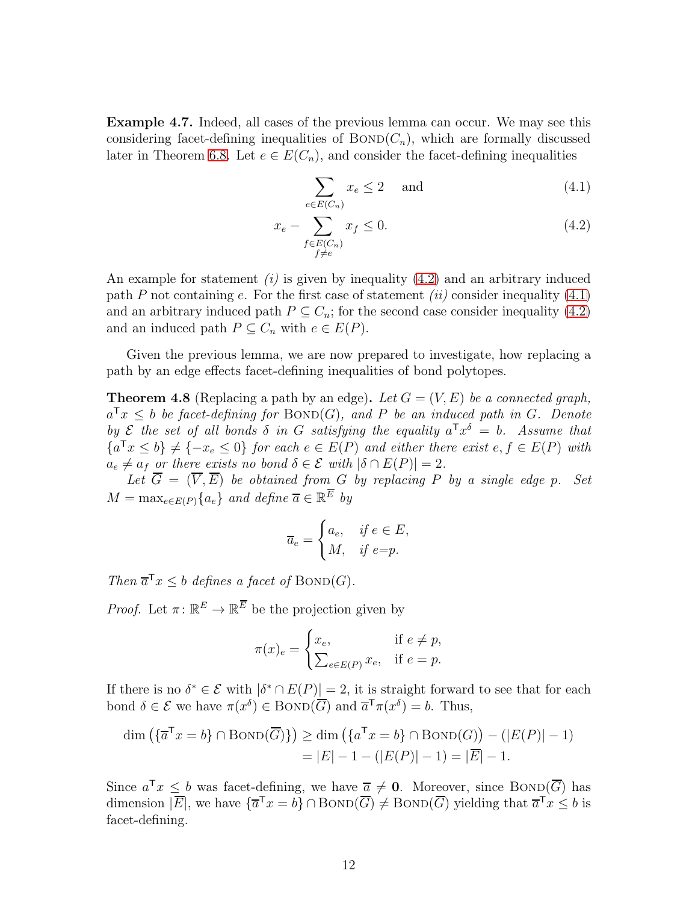Example 4.7. Indeed, all cases of the previous lemma can occur. We may see this considering facet-defining inequalities of  $BOND(C_n)$ , which are formally discussed later in Theorem [6.8.](#page-19-1) Let  $e \in E(C_n)$ , and consider the facet-defining inequalities

<span id="page-11-1"></span><span id="page-11-0"></span>
$$
\sum_{e \in E(C_n)} x_e \le 2 \quad \text{and} \tag{4.1}
$$

$$
x_e - \sum_{\substack{f \in E(C_n) \\ f \neq e}} x_f \le 0. \tag{4.2}
$$

An example for statement  $(i)$  is given by inequality  $(4.2)$  and an arbitrary induced path P not containing e. For the first case of statement (ii) consider inequality  $(4.1)$ and an arbitrary induced path  $P \subseteq C_n$ ; for the second case consider inequality [\(4.2\)](#page-11-0) and an induced path  $P \subseteq C_n$  with  $e \in E(P)$ .

Given the previous lemma, we are now prepared to investigate, how replacing a path by an edge effects facet-defining inequalities of bond polytopes.

**Theorem 4.8** (Replacing a path by an edge). Let  $G = (V, E)$  be a connected graph,  $a^{\mathsf{T}}x \leq b$  be facet-defining for  $\text{BOND}(G)$ , and P be an induced path in G. Denote by  $\mathcal E$  the set of all bonds  $\delta$  in G satisfying the equality  $a^T x^{\delta} = b$ . Assume that  ${a^{\mathsf{T}}x \le b} \neq {-x_e \le 0}$  for each  $e \in E(P)$  and either there exist  $e, f \in E(P)$  with  $a_e \neq a_f$  or there exists no bond  $\delta \in \mathcal{E}$  with  $|\delta \cap E(P)| = 2$ .

Let  $\overline{G} = (\overline{V}, \overline{E})$  be obtained from G by replacing P by a single edge p. Set  $M = \max_{e \in E(P)} \{a_e\}$  and define  $\overline{a} \in \mathbb{R}^E$  by

$$
\overline{a}_e = \begin{cases} a_e, & \text{if } e \in E, \\ M, & \text{if } e = p. \end{cases}
$$

Then  $\overline{a}^{\mathsf{T}} x \leq b$  defines a facet of  $\text{BOND}(G)$ .

*Proof.* Let  $\pi: \mathbb{R}^E \to \mathbb{R}^E$  be the projection given by

$$
\pi(x)_e = \begin{cases} x_e, & \text{if } e \neq p, \\ \sum_{e \in E(P)} x_e, & \text{if } e = p. \end{cases}
$$

If there is no  $\delta^* \in \mathcal{E}$  with  $|\delta^* \cap E(P)| = 2$ , it is straight forward to see that for each bond  $\delta \in \mathcal{E}$  we have  $\pi(x^{\delta}) \in \text{BOND}(\overline{G})$  and  $\overline{a}^{\mathsf{T}}\pi(x^{\delta}) = b$ . Thus,

$$
\dim\left(\{\overline{a}^{\mathsf{T}}x = b\} \cap \text{BOND}(\overline{G})\}\right) \ge \dim\left(\{a^{\mathsf{T}}x = b\} \cap \text{BOND}(G)\right) - (|E(P)| - 1) \\
= |E| - 1 - (|E(P)| - 1) = |\overline{E}| - 1.
$$

Since  $a^{\mathsf{T}}x \leq b$  was facet-defining, we have  $\overline{a} \neq \overline{0}$ . Moreover, since BOND( $\overline{G}$ ) has dimension  $|\overline{E}|$ , we have  $\{\overline{a}^{\mathsf{T}}x = b\} \cap \text{BOND}(\overline{G}) \neq \text{BOND}(\overline{G})$  yielding that  $\overline{a}^{\mathsf{T}}x \leq b$  is facet-defining.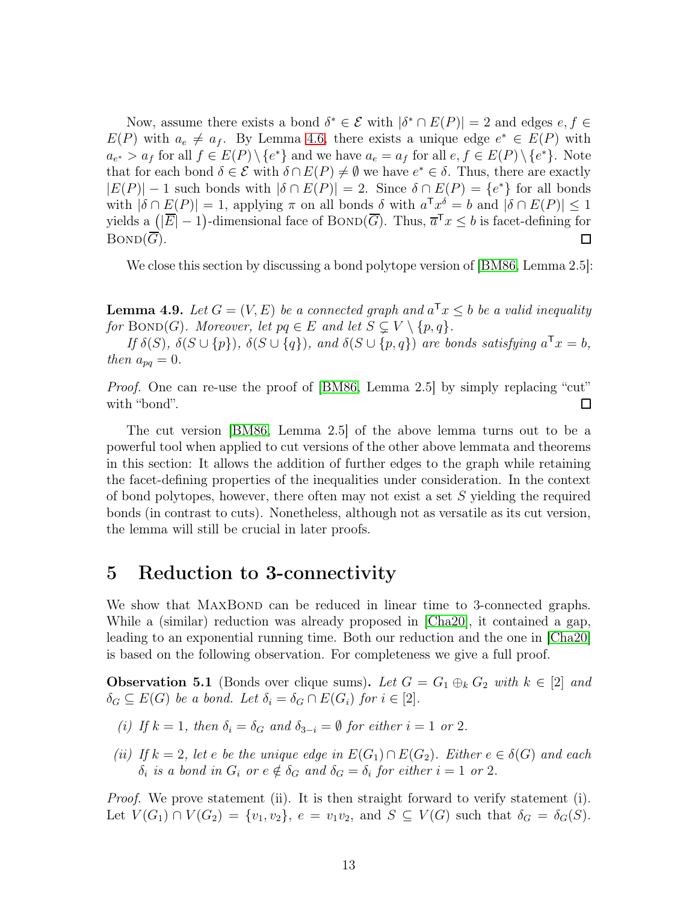Now, assume there exists a bond  $\delta^* \in \mathcal{E}$  with  $|\delta^* \cap E(P)| = 2$  and edges  $e, f \in$  $E(P)$  with  $a_e \neq a_f$ . By Lemma [4.6,](#page-9-0) there exists a unique edge  $e^* \in E(P)$  with  $a_{e^*} > a_f$  for all  $f \in E(P) \setminus \{e^*\}$  and we have  $a_e = a_f$  for all  $e, f \in E(P) \setminus \{e^*\}$ . Note that for each bond  $\delta \in \mathcal{E}$  with  $\delta \cap E(P) \neq \emptyset$  we have  $e^* \in \delta$ . Thus, there are exactly  $|E(P)| - 1$  such bonds with  $|\delta \cap E(P)| = 2$ . Since  $\delta \cap E(P) = \{e^*\}$  for all bonds with  $|\delta \cap E(P)| = 1$ , applying  $\pi$  on all bonds  $\delta$  with  $a^T x^{\delta} = b$  and  $|\delta \cap E(P)| \leq 1$ yields a  $(|\overline{E}|-1)$ -dimensional face of BOND( $\overline{G}$ ). Thus,  $\overline{a}^T x \leq b$  is facet-defining for  $BOND(\overline{G})$ .  $\Box$ 

<span id="page-12-2"></span>We close this section by discussing a bond polytope version of [\[BM86,](#page-26-8) Lemma 2.5]:

**Lemma 4.9.** Let  $G = (V, E)$  be a connected graph and  $a^T x \leq b$  be a valid inequality for BOND(G). Moreover, let  $pq \in E$  and let  $S \subsetneq V \setminus \{p,q\}.$ 

If  $\delta(S)$ ,  $\delta(S \cup \{p\})$ ,  $\delta(S \cup \{q\})$ , and  $\delta(S \cup \{p,q\})$  are bonds satisfying  $a^{\mathsf{T}}x = b$ , then  $a_{pq} = 0$ .

*Proof.* One can re-use the proof of [\[BM86,](#page-26-8) Lemma 2.5] by simply replacing "cut" with "bond". □

The cut version [\[BM86,](#page-26-8) Lemma 2.5] of the above lemma turns out to be a powerful tool when applied to cut versions of the other above lemmata and theorems in this section: It allows the addition of further edges to the graph while retaining the facet-defining properties of the inequalities under consideration. In the context of bond polytopes, however, there often may not exist a set S yielding the required bonds (in contrast to cuts). Nonetheless, although not as versatile as its cut version, the lemma will still be crucial in later proofs.

#### <span id="page-12-0"></span>5 Reduction to 3-connectivity

We show that MAXBOND can be reduced in linear time to 3-connected graphs. While a (similar) reduction was already proposed in [\[Cha20\]](#page-26-2), it contained a gap, leading to an exponential running time. Both our reduction and the one in [\[Cha20\]](#page-26-2) is based on the following observation. For completeness we give a full proof.

<span id="page-12-1"></span>**Observation 5.1** (Bonds over clique sums). Let  $G = G_1 \oplus_k G_2$  with  $k \in [2]$  and  $\delta_G \subseteq E(G)$  be a bond. Let  $\delta_i = \delta_G \cap E(G_i)$  for  $i \in [2]$ .

- (i) If  $k = 1$ , then  $\delta_i = \delta_G$  and  $\delta_{3-i} = \emptyset$  for either  $i = 1$  or 2.
- (ii) If  $k = 2$ , let e be the unique edge in  $E(G_1) \cap E(G_2)$ . Either  $e \in \delta(G)$  and each  $\delta_i$  is a bond in  $G_i$  or  $e \notin \delta_G$  and  $\delta_G = \delta_i$  for either  $i = 1$  or 2.

*Proof.* We prove statement (ii). It is then straight forward to verify statement (i). Let  $V(G_1) \cap V(G_2) = \{v_1, v_2\}, e = v_1v_2$ , and  $S \subseteq V(G)$  such that  $\delta_G = \delta_G(S)$ .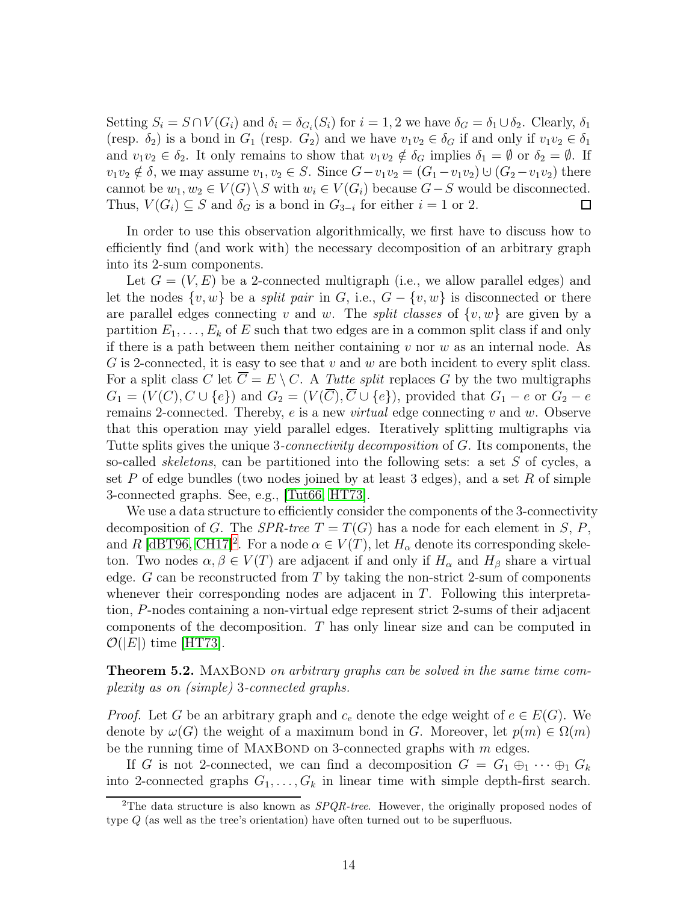Setting  $S_i = S \cap V(G_i)$  and  $\delta_i = \delta_{G_i}(S_i)$  for  $i = 1, 2$  we have  $\delta_G = \delta_1 \cup \delta_2$ . Clearly,  $\delta_1$ (resp.  $\delta_2$ ) is a bond in  $G_1$  (resp.  $G_2$ ) and we have  $v_1v_2 \in \delta_G$  if and only if  $v_1v_2 \in \delta_1$ and  $v_1v_2 \in \delta_2$ . It only remains to show that  $v_1v_2 \notin \delta_G$  implies  $\delta_1 = \emptyset$  or  $\delta_2 = \emptyset$ . If  $v_1v_2 \notin \delta$ , we may assume  $v_1, v_2 \in S$ . Since  $G-v_1v_2 = (G_1-v_1v_2) \cup (G_2-v_1v_2)$  there cannot be  $w_1, w_2 \in V(G) \setminus S$  with  $w_i \in V(G_i)$  because  $G-S$  would be disconnected.<br>Thus,  $V(G_i) \subseteq S$  and  $\delta_G$  is a bond in  $G_{3-i}$  for either  $i = 1$  or 2. Thus,  $V(G_i) \subseteq S$  and  $\delta_G$  is a bond in  $G_{3-i}$  for either  $i = 1$  or 2.

In order to use this observation algorithmically, we first have to discuss how to efficiently find (and work with) the necessary decomposition of an arbitrary graph into its 2-sum components.

Let  $G = (V, E)$  be a 2-connected multigraph (i.e., we allow parallel edges) and let the nodes  $\{v, w\}$  be a *split pair* in G, i.e.,  $G - \{v, w\}$  is disconnected or there are parallel edges connecting v and w. The *split classes* of  $\{v, w\}$  are given by a partition  $E_1, \ldots, E_k$  of E such that two edges are in a common split class if and only if there is a path between them neither containing  $v$  nor  $w$  as an internal node. As G is 2-connected, it is easy to see that  $v$  and  $w$  are both incident to every split class. For a split class C let  $\overline{C} = E \setminus C$ . A Tutte split replaces G by the two multigraphs  $G_1 = (V(C), C \cup \{e\})$  and  $G_2 = (V(\overline{C}), \overline{C} \cup \{e\})$ , provided that  $G_1 - e$  or  $G_2 - e$ remains 2-connected. Thereby,  $e$  is a new *virtual* edge connecting  $v$  and  $w$ . Observe that this operation may yield parallel edges. Iteratively splitting multigraphs via Tutte splits gives the unique 3-connectivity decomposition of G. Its components, the so-called *skeletons*, can be partitioned into the following sets: a set  $S$  of cycles, a set P of edge bundles (two nodes joined by at least 3 edges), and a set R of simple 3-connected graphs. See, e.g., [\[Tut66,](#page-27-7) [HT73\]](#page-27-8).

We use a data structure to efficiently consider the components of the 3-connectivity decomposition of G. The SPR-tree  $T = T(G)$  has a node for each element in S, P, and R [\[dBT96,](#page-26-15) [CH17\]](#page-26-16)<sup>[2](#page-13-0)</sup>. For a node  $\alpha \in V(T)$ , let  $H_{\alpha}$  denote its corresponding skeleton. Two nodes  $\alpha, \beta \in V(T)$  are adjacent if and only if  $H_{\alpha}$  and  $H_{\beta}$  share a virtual edge. G can be reconstructed from T by taking the non-strict 2-sum of components whenever their corresponding nodes are adjacent in T. Following this interpretation, P-nodes containing a non-virtual edge represent strict 2-sums of their adjacent components of the decomposition. T has only linear size and can be computed in  $\mathcal{O}(|E|)$  time [\[HT73\]](#page-27-8).

<span id="page-13-1"></span>**Theorem 5.2.** MAXBOND on arbitrary graphs can be solved in the same time complexity as on (simple) 3-connected graphs.

*Proof.* Let G be an arbitrary graph and  $c_e$  denote the edge weight of  $e \in E(G)$ . We denote by  $\omega(G)$  the weight of a maximum bond in G. Moreover, let  $p(m) \in \Omega(m)$ be the running time of MAXBOND on 3-connected graphs with  $m$  edges.

If G is not 2-connected, we can find a decomposition  $G = G_1 \oplus_1 \cdots \oplus_1 G_k$ into 2-connected graphs  $G_1, \ldots, G_k$  in linear time with simple depth-first search.

<span id="page-13-0"></span><sup>&</sup>lt;sup>2</sup>The data structure is also known as  $SPQR-tree$ . However, the originally proposed nodes of type Q (as well as the tree's orientation) have often turned out to be superfluous.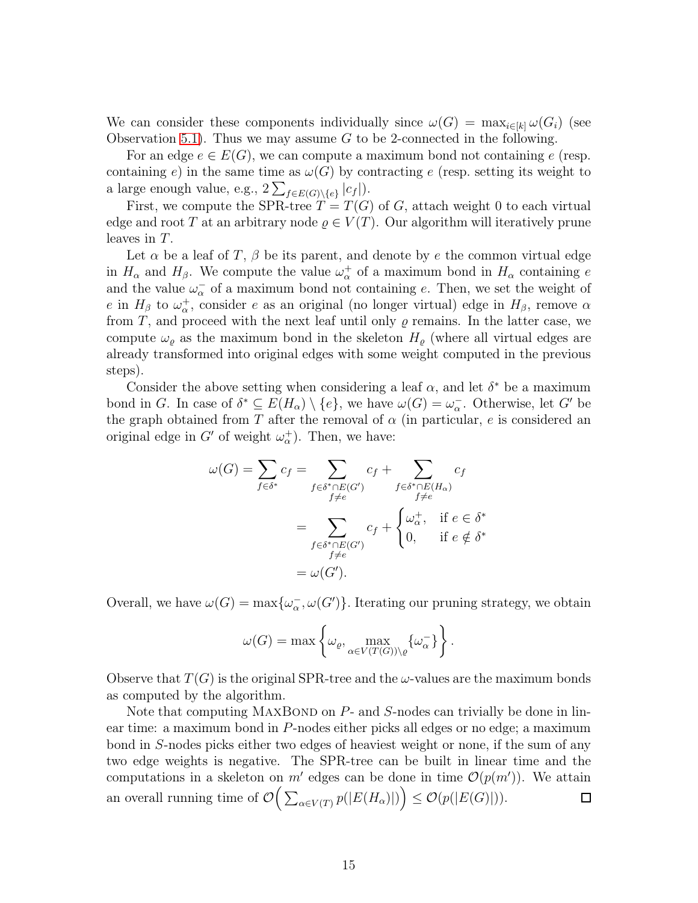We can consider these components individually since  $\omega(G) = \max_{i \in [k]} \omega(G_i)$  (see Observation [5.1\)](#page-12-1). Thus we may assume G to be 2-connected in the following.

For an edge  $e \in E(G)$ , we can compute a maximum bond not containing e (resp. containing e) in the same time as  $\omega(G)$  by contracting e (resp. setting its weight to a large enough value, e.g.,  $2\sum_{f \in E(G) \setminus \{e\}} |c_f|$ ).

First, we compute the SPR-tree  $T = T(G)$  of G, attach weight 0 to each virtual edge and root T at an arbitrary node  $\rho \in V(T)$ . Our algorithm will iteratively prune leaves in T.

Let  $\alpha$  be a leaf of T,  $\beta$  be its parent, and denote by e the common virtual edge in  $H_{\alpha}$  and  $H_{\beta}$ . We compute the value  $\omega_{\alpha}^{+}$  of a maximum bond in  $H_{\alpha}$  containing e and the value  $\omega_{\alpha}^-$  of a maximum bond not containing e. Then, we set the weight of e in  $H_\beta$  to  $\omega_\alpha^+$ , consider e as an original (no longer virtual) edge in  $H_\beta$ , remove  $\alpha$ from T, and proceed with the next leaf until only  $\varrho$  remains. In the latter case, we compute  $\omega_{\rho}$  as the maximum bond in the skeleton  $H_{\rho}$  (where all virtual edges are already transformed into original edges with some weight computed in the previous steps).

Consider the above setting when considering a leaf  $\alpha$ , and let  $\delta^*$  be a maximum bond in G. In case of  $\delta^* \subseteq E(H_\alpha) \setminus \{e\}$ , we have  $\omega(G) = \omega_\alpha^-$ . Otherwise, let G' be the graph obtained from T after the removal of  $\alpha$  (in particular, e is considered an original edge in  $G'$  of weight  $\omega_{\alpha}^{+}$ ). Then, we have:

$$
\omega(G) = \sum_{f \in \delta^*} c_f = \sum_{\substack{f \in \delta^* \cap E(G') \\ f \neq e}} c_f + \sum_{\substack{f \in \delta^* \cap E(H_\alpha) \\ f \neq e}} c_f
$$

$$
= \sum_{\substack{f \in \delta^* \cap E(G') \\ f \neq e}} c_f + \begin{cases} \omega_\alpha^+, & \text{if } e \in \delta^* \\ 0, & \text{if } e \notin \delta^* \end{cases}
$$

$$
= \omega(G').
$$

Overall, we have  $\omega(G) = \max{\{\omega_{\alpha}^-, \omega(G')\}}$ . Iterating our pruning strategy, we obtain

$$
\omega(G) = \max \left\{ \omega_{\varrho}, \max_{\alpha \in V(T(G)) \setminus \varrho} \{ \omega_{\alpha}^{-} \} \right\}.
$$

Observe that  $T(G)$  is the original SPR-tree and the  $\omega$ -values are the maximum bonds as computed by the algorithm.

Note that computing MAXBOND on  $P$ - and  $S$ -nodes can trivially be done in linear time: a maximum bond in P-nodes either picks all edges or no edge; a maximum bond in S-nodes picks either two edges of heaviest weight or none, if the sum of any two edge weights is negative. The SPR-tree can be built in linear time and the computations in a skeleton on m' edges can be done in time  $\mathcal{O}(p(m'))$ . We attain an overall running time of  $\mathcal{O}\Big(\sum_{\alpha\in V(T)}p(|E(H_{\alpha})|)\Big)\leq \mathcal{O}(p(|E(G)|)).$ 囗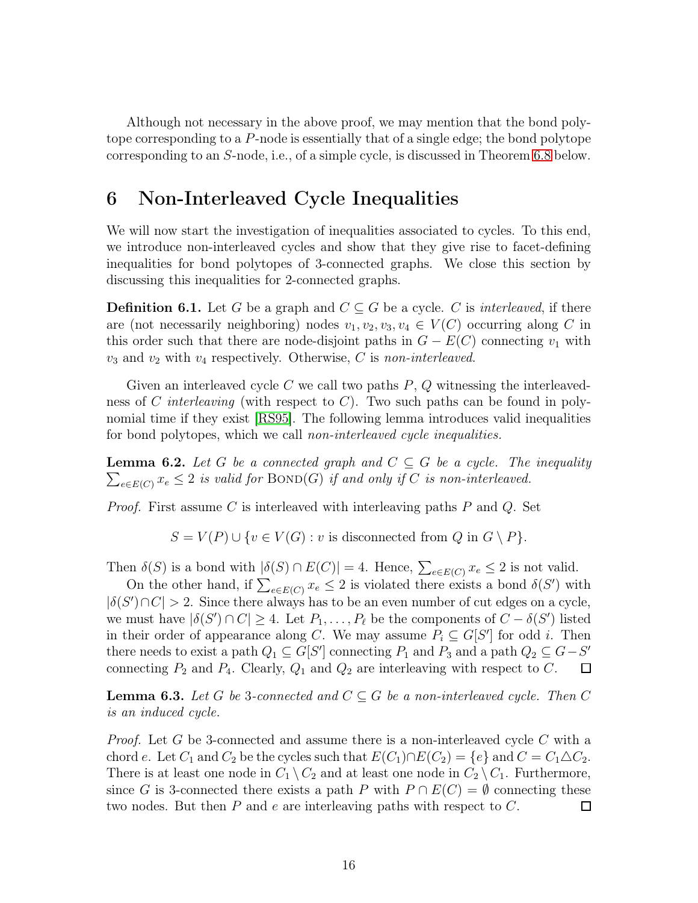Although not necessary in the above proof, we may mention that the bond polytope corresponding to a P-node is essentially that of a single edge; the bond polytope corresponding to an S-node, i.e., of a simple cycle, is discussed in Theorem [6.8](#page-19-1) below.

## <span id="page-15-0"></span>6 Non-Interleaved Cycle Inequalities

We will now start the investigation of inequalities associated to cycles. To this end, we introduce non-interleaved cycles and show that they give rise to facet-defining inequalities for bond polytopes of 3-connected graphs. We close this section by discussing this inequalities for 2-connected graphs.

**Definition 6.1.** Let G be a graph and  $C \subseteq G$  be a cycle. C is *interleaved*, if there are (not necessarily neighboring) nodes  $v_1, v_2, v_3, v_4 \in V(C)$  occurring along C in this order such that there are node-disjoint paths in  $G - E(C)$  connecting  $v_1$  with  $v_3$  and  $v_2$  with  $v_4$  respectively. Otherwise, C is non-interleaved.

Given an interleaved cycle C we call two paths  $P, Q$  witnessing the interleavedness of C interleaving (with respect to C). Two such paths can be found in polynomial time if they exist [\[RS95\]](#page-27-9). The following lemma introduces valid inequalities for bond polytopes, which we call *non-interleaved cycle inequalities*.

<span id="page-15-1"></span> $\sum_{e \in E(C)} x_e \leq 2$  is valid for BOND(G) if and only if C is non-interleaved. **Lemma 6.2.** Let G be a connected graph and  $C \subseteq G$  be a cycle. The inequality

*Proof.* First assume C is interleaved with interleaving paths  $P$  and  $Q$ . Set

 $S = V(P) \cup \{v \in V(G) : v \text{ is disconnected from } Q \text{ in } G \setminus P\}.$ 

Then  $\delta(S)$  is a bond with  $|\delta(S) \cap E(C)| = 4$ . Hence,  $\sum_{e \in E(C)} x_e \leq 2$  is not valid.

On the other hand, if  $\sum_{e \in E(C)} x_e \leq 2$  is violated there exists a bond  $\delta(S')$  with  $|\delta(S') \cap C| > 2$ . Since there always has to be an even number of cut edges on a cycle, we must have  $|\delta(S') \cap C| \ge 4$ . Let  $P_1, \ldots, P_\ell$  be the components of  $C - \delta(S')$  listed in their order of appearance along C. We may assume  $P_i \subseteq G[S']$  for odd i. Then there needs to exist a path  $Q_1 \subseteq G[S']$  connecting  $P_1$  and  $P_3$  and a path  $Q_2 \subseteq G-S'$ connecting  $P_2$  and  $P_4$ . Clearly,  $Q_1$  and  $Q_2$  are interleaving with respect to C.

**Lemma 6.3.** Let G be 3-connected and  $C \subseteq G$  be a non-interleaved cycle. Then C is an induced cycle.

*Proof.* Let G be 3-connected and assume there is a non-interleaved cycle C with a chord e. Let  $C_1$  and  $C_2$  be the cycles such that  $E(C_1) \cap E(C_2) = \{e\}$  and  $C = C_1 \triangle C_2$ . There is at least one node in  $C_1 \setminus C_2$  and at least one node in  $C_2 \setminus C_1$ . Furthermore, since G is 3-connected there exists a path P with  $P \cap E(C) = \emptyset$  connecting these two nodes. But then P and e are interleaving paths with respect to C. two nodes. But then  $P$  and  $e$  are interleaving paths with respect to  $C$ .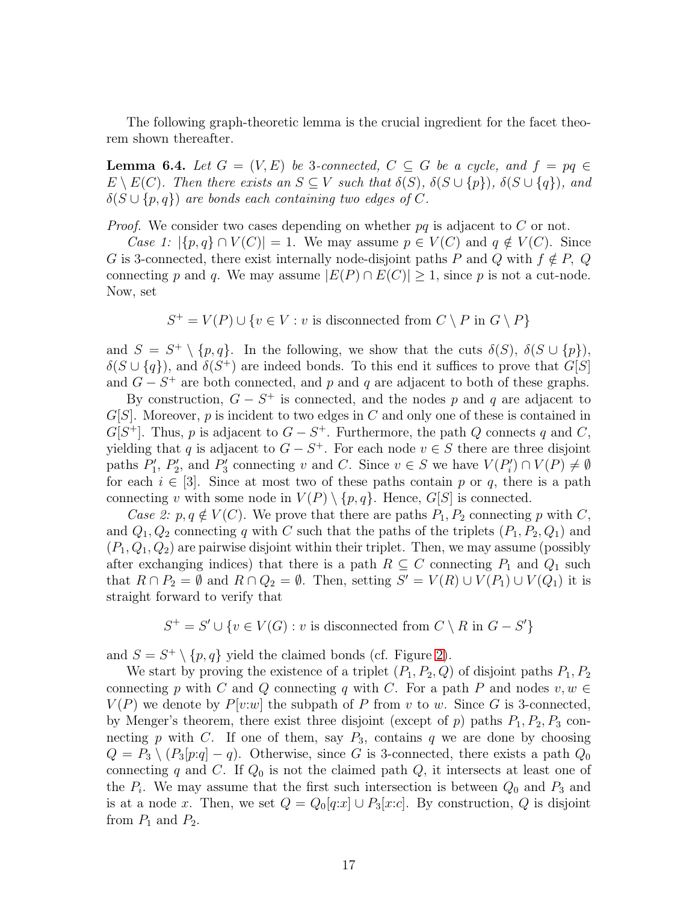<span id="page-16-0"></span>The following graph-theoretic lemma is the crucial ingredient for the facet theorem shown thereafter.

**Lemma 6.4.** Let  $G = (V, E)$  be 3-connected,  $C \subseteq G$  be a cycle, and  $f = pq \in$  $E \setminus E(C)$ . Then there exists an  $S \subseteq V$  such that  $\delta(S)$ ,  $\delta(S \cup \{p\})$ ,  $\delta(S \cup \{q\})$ , and  $\delta(S \cup \{p,q\})$  are bonds each containing two edges of C.

*Proof.* We consider two cases depending on whether  $pq$  is adjacent to C or not.

Case 1:  $|\{p,q\} \cap V(C)| = 1$ . We may assume  $p \in V(C)$  and  $q \notin V(C)$ . Since G is 3-connected, there exist internally node-disjoint paths P and Q with  $f \notin P$ , Q connecting p and q. We may assume  $|E(P) \cap E(C)| \geq 1$ , since p is not a cut-node. Now, set

$$
S^+ = V(P) \cup \{v \in V : v \text{ is disconnected from } C \setminus P \text{ in } G \setminus P\}
$$

and  $S = S^+ \setminus \{p, q\}$ . In the following, we show that the cuts  $\delta(S)$ ,  $\delta(S \cup \{p\})$ ,  $\delta(S \cup \{q\})$ , and  $\delta(S^+)$  are indeed bonds. To this end it suffices to prove that  $G[S]$ and  $G - S^+$  are both connected, and p and q are adjacent to both of these graphs.

By construction,  $G - S^+$  is connected, and the nodes p and q are adjacent to  $G[S]$ . Moreover, p is incident to two edges in C and only one of these is contained in  $G[S^+]$ . Thus, p is adjacent to  $G - S^+$ . Furthermore, the path Q connects q and C, yielding that q is adjacent to  $G - S^+$ . For each node  $v \in S$  there are three disjoint paths  $P'_1$ ,  $P'_2$ , and  $P'_3$  connecting v and C. Since  $v \in S$  we have  $V(P'_i) \cap V(P) \neq \emptyset$ for each  $i \in [3]$ . Since at most two of these paths contain p or q, there is a path connecting v with some node in  $V(P) \setminus \{p,q\}$ . Hence,  $G[S]$  is connected.

Case 2:  $p, q \notin V(C)$ . We prove that there are paths  $P_1, P_2$  connecting p with C, and  $Q_1, Q_2$  connecting q with C such that the paths of the triplets  $(P_1, P_2, Q_1)$  and  $(P_1, Q_1, Q_2)$  are pairwise disjoint within their triplet. Then, we may assume (possibly after exchanging indices) that there is a path  $R \subseteq C$  connecting  $P_1$  and  $Q_1$  such that  $R \cap P_2 = \emptyset$  and  $R \cap Q_2 = \emptyset$ . Then, setting  $S' = V(R) \cup V(P_1) \cup V(Q_1)$  it is straight forward to verify that

 $S^+ = S' \cup \{v \in V(G) : v \text{ is disconnected from } C \setminus R \text{ in } G - S'\}$ 

and  $S = S^+ \setminus \{p, q\}$  yield the claimed bonds (cf. Figure [2\)](#page-17-0).

We start by proving the existence of a triplet  $(P_1, P_2, Q)$  of disjoint paths  $P_1, P_2$ connecting p with C and Q connecting q with C. For a path P and nodes  $v, w \in$  $V(P)$  we denote by  $P[v:w]$  the subpath of P from v to w. Since G is 3-connected, by Menger's theorem, there exist three disjoint (except of  $p$ ) paths  $P_1, P_2, P_3$  connecting p with C. If one of them, say  $P_3$ , contains q we are done by choosing  $Q = P_3 \setminus (P_3[p:q] - q)$ . Otherwise, since G is 3-connected, there exists a path  $Q_0$ connecting q and C. If  $Q_0$  is not the claimed path  $Q$ , it intersects at least one of the  $P_i$ . We may assume that the first such intersection is between  $Q_0$  and  $P_3$  and is at a node x. Then, we set  $Q = Q_0[q:x] \cup P_3[x:c]$ . By construction, Q is disjoint from  $P_1$  and  $P_2$ .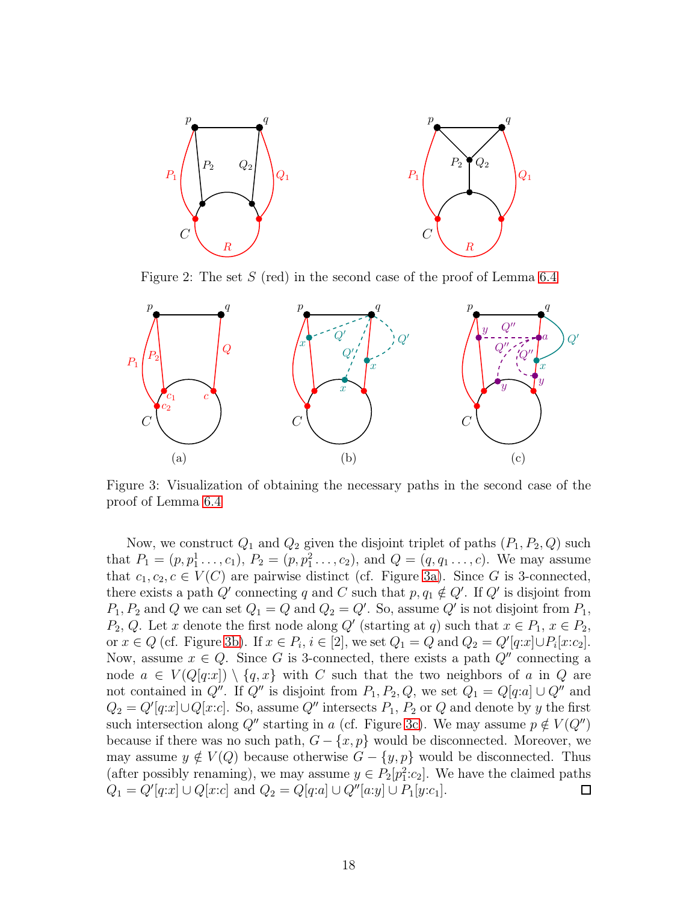<span id="page-17-0"></span>

Figure 2: The set S (red) in the second case of the proof of Lemma [6.4](#page-16-0)

<span id="page-17-1"></span>

Figure 3: Visualization of obtaining the necessary paths in the second case of the proof of Lemma [6.4](#page-16-0)

Now, we construct  $Q_1$  and  $Q_2$  given the disjoint triplet of paths  $(P_1, P_2, Q)$  such that  $P_1 = (p, p_1^1, \ldots, c_1), P_2 = (p, p_1^2, \ldots, c_2),$  and  $Q = (q, q_1, \ldots, c)$ . We may assume that  $c_1, c_2, c \in V(C)$  are pairwise distinct (cf. Figure [3a\)](#page-17-1). Since G is 3-connected, there exists a path  $Q'$  connecting q and C such that  $p, q_1 \notin Q'$ . If  $Q'$  is disjoint from  $P_1, P_2$  and Q we can set  $Q_1 = Q$  and  $Q_2 = Q'$ . So, assume Q' is not disjoint from  $P_1$ ,  $P_2, Q$ . Let x denote the first node along Q' (starting at q) such that  $x \in P_1, x \in P_2$ , or  $x \in Q$  (cf. Figure [3b\)](#page-17-1). If  $x \in P_i$ ,  $i \in [2]$ , we set  $Q_1 = Q$  and  $Q_2 = Q'[q:x] \cup P_i[x:c_2]$ . Now, assume  $x \in Q$ . Since G is 3-connected, there exists a path  $Q''$  connecting a node  $a \in V(Q[q:x]) \setminus \{q,x\}$  with C such that the two neighbors of a in Q are not contained in  $Q''$ . If  $Q''$  is disjoint from  $P_1, P_2, Q$ , we set  $Q_1 = Q[q:a] \cup Q''$  and  $Q_2 = Q'[q:x] \cup Q[x:c]$ . So, assume  $Q''$  intersects  $P_1$ ,  $P_2$  or  $Q$  and denote by y the first such intersection along Q'' starting in a (cf. Figure [3c\)](#page-17-1). We may assume  $p \notin V(Q'')$ because if there was no such path,  $G - \{x, p\}$  would be disconnected. Moreover, we may assume  $y \notin V(Q)$  because otherwise  $G - \{y, p\}$  would be disconnected. Thus (after possibly renaming), we may assume  $y \in P_2[p_1^2:c_2]$ . We have the claimed paths  $Q_1 = Q'[q:x] \cup Q[x:c]$  and  $Q_2 = Q[q:a] \cup Q''[a:y] \cup P_1[y:c_1]$ .  $\Box$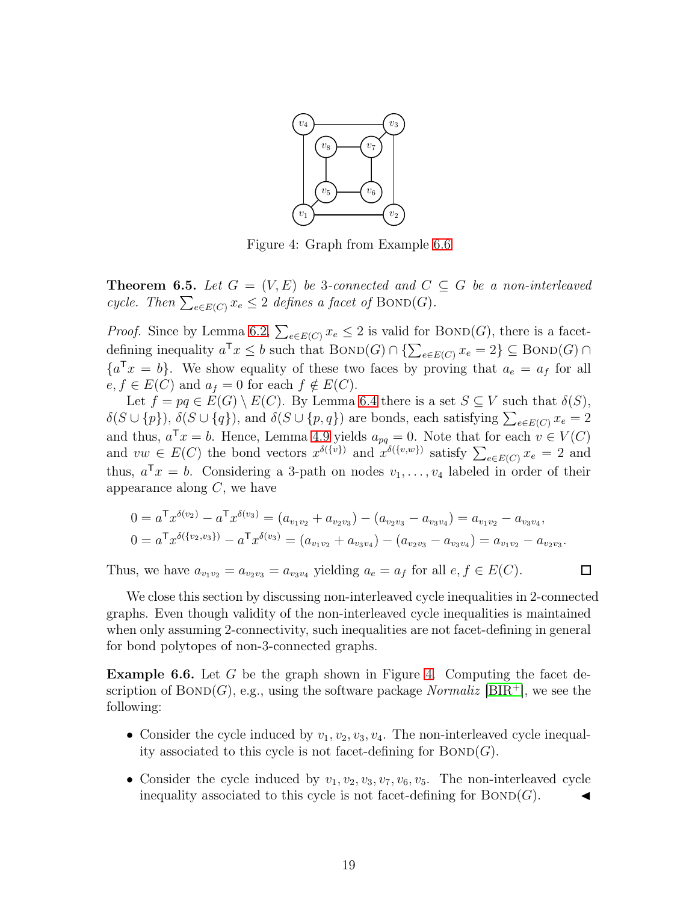<span id="page-18-1"></span>

Figure 4: Graph from Example [6.6](#page-18-0)

**Theorem 6.5.** Let  $G = (V, E)$  be 3-connected and  $C \subseteq G$  be a non-interleaved cycle. Then  $\sum_{e \in E(C)} x_e \leq 2$  defines a facet of BOND(G).

*Proof.* Since by Lemma [6.2,](#page-15-1)  $\sum_{e \in E(C)} x_e \leq 2$  is valid for BOND(G), there is a facetdefining inequality  $a^{\mathsf{T}} x \leq b$  such that  $\text{BOND}(G) \cap {\sum_{e \in E(C)} x_e = 2} \subseteq \text{BOND}(G) \cap$  ${a^{\mathsf{T}}x = b}$ . We show equality of these two faces by proving that  $a_e = a_f$  for all  $e, f \in E(C)$  and  $a_f = 0$  for each  $f \notin E(C)$ .

Let  $f = pq \in E(G) \setminus E(C)$ . By Lemma [6.4](#page-16-0) there is a set  $S \subseteq V$  such that  $\delta(S)$ ,  $\delta(S \cup \{p\}), \delta(S \cup \{q\}),$  and  $\delta(S \cup \{p,q\})$  are bonds, each satisfying  $\sum_{e \in E(C)} x_e = 2$ and thus,  $a^{\mathsf{T}} x = b$ . Hence, Lemma [4.9](#page-12-2) yields  $a_{pq} = 0$ . Note that for each  $v \in V(C)$ and  $vw \in E(C)$  the bond vectors  $x^{\delta({v})}$  and  $x^{\delta({v,w})}$  satisfy  $\sum_{e \in E(C)} x_e = 2$  and thus,  $a^{\mathsf{T}} x = b$ . Considering a 3-path on nodes  $v_1, \ldots, v_4$  labeled in order of their appearance along  $C$ , we have

$$
0 = a^{\mathsf{T}} x^{\delta(v_2)} - a^{\mathsf{T}} x^{\delta(v_3)} = (a_{v_1v_2} + a_{v_2v_3}) - (a_{v_2v_3} - a_{v_3v_4}) = a_{v_1v_2} - a_{v_3v_4},
$$
  
\n
$$
0 = a^{\mathsf{T}} x^{\delta(\{v_2, v_3\})} - a^{\mathsf{T}} x^{\delta(v_3)} = (a_{v_1v_2} + a_{v_3v_4}) - (a_{v_2v_3} - a_{v_3v_4}) = a_{v_1v_2} - a_{v_2v_3}.
$$

Thus, we have  $a_{v_1v_2} = a_{v_2v_3} = a_{v_3v_4}$  yielding  $a_e = a_f$  for all  $e, f \in E(C)$ .

We close this section by discussing non-interleaved cycle inequalities in 2-connected graphs. Even though validity of the non-interleaved cycle inequalities is maintained when only assuming 2-connectivity, such inequalities are not facet-defining in general for bond polytopes of non-3-connected graphs.

 $\Box$ 

<span id="page-18-0"></span>**Example 6.6.** Let G be the graph shown in Figure [4.](#page-18-1) Computing the facet description of  $BOND(G)$ , e.g., using the software package *Normaliz* [\[BIR](#page-25-2)<sup>+</sup>], we see the following:

- Consider the cycle induced by  $v_1, v_2, v_3, v_4$ . The non-interleaved cycle inequality associated to this cycle is not facet-defining for  $BOND(G)$ .
- Consider the cycle induced by  $v_1, v_2, v_3, v_7, v_6, v_5$ . The non-interleaved cycle inequality associated to this cycle is not facet-defining for  $BOND(G)$ .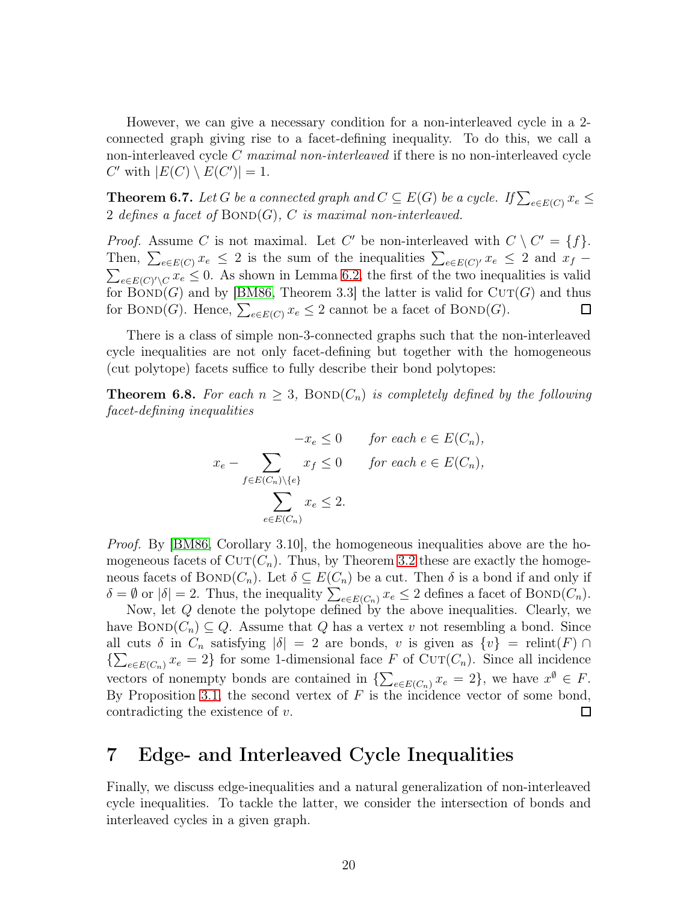However, we can give a necessary condition for a non-interleaved cycle in a 2 connected graph giving rise to a facet-defining inequality. To do this, we call a non-interleaved cycle C maximal non-interleaved if there is no non-interleaved cycle C' with  $|E(C) \setminus E(C')| = 1$ .

**Theorem 6.7.** Let G be a connected graph and  $C \subseteq E(G)$  be a cycle. If  $\sum_{e \in E(C)} x_e \le$ 2 defines a facet of  $\text{BOND}(G)$ , C is maximal non-interleaved.

*Proof.* Assume C is not maximal. Let C' be non-interleaved with  $C \setminus C' = \{f\}.$ Then,  $\sum_{e \in E(C)} x_e \leq 2$  is the sum of the inequalities  $\sum_{e \in E(C)} x_e \leq 2$  and  $x_f - \sum_{e \in E(C)} x_e \leq 0$ . As shown in Lemma 6.2, the first of the two inequalities is valid  $_{e\in E(C)'\setminus C} x_e \leq 0$ . As shown in Lemma [6.2,](#page-15-1) the first of the two inequalities is valid for  $BOND(G)$  and by [\[BM86,](#page-26-8) Theorem 3.3] the latter is valid for  $CUT(G)$  and thus for BOND(G). Hence,  $\sum_{e \in E(C)} x_e \leq 2$  cannot be a facet of BOND(G).  $\Box$ 

There is a class of simple non-3-connected graphs such that the non-interleaved cycle inequalities are not only facet-defining but together with the homogeneous (cut polytope) facets suffice to fully describe their bond polytopes:

<span id="page-19-1"></span>**Theorem 6.8.** For each  $n \geq 3$ , BOND $(C_n)$  is completely defined by the following facet-defining inequalities

$$
-x_e \le 0 \quad \text{for each } e \in E(C_n),
$$
  

$$
x_e - \sum_{f \in E(C_n) \setminus \{e\}} x_f \le 0 \quad \text{for each } e \in E(C_n),
$$
  

$$
\sum_{e \in E(C_n)} x_e \le 2.
$$

*Proof.* By [\[BM86,](#page-26-8) Corollary 3.10], the homogeneous inequalities above are the homogeneous facets of  $CUT(C_n)$ . Thus, by Theorem [3.2](#page-5-1) these are exactly the homogeneous facets of  $BOND(C_n)$ . Let  $\delta \subseteq E(C_n)$  be a cut. Then  $\delta$  is a bond if and only if  $\delta = \emptyset$  or  $|\delta| = 2$ . Thus, the inequality  $\sum_{e \in E(C_n)} x_e \leq 2$  defines a facet of BOND( $C_n$ ).

Now, let  $Q$  denote the polytope defined by the above inequalities. Clearly, we have  $BOND(C_n) \subseteq Q$ . Assume that Q has a vertex v not resembling a bond. Since all cuts  $\delta$  in  $C_n$  satisfying  $|\delta| = 2$  are bonds, v is given as  $\{v\} = \text{relint}(F) \cap$  ${\sum_{e \in E(C_n)} x_e = 2}$  for some 1-dimensional face F of Cu<sub>T</sub>(C<sub>n</sub>). Since all incidence vectors of nonempty bonds are contained in  $\{\sum_{e \in E(C_n)} x_e = 2\}$ , we have  $x^{\emptyset} \in F$ . By Proposition [3.1,](#page-4-2) the second vertex of  $F$  is the incidence vector of some bond, contradicting the existence of v. □

#### <span id="page-19-0"></span>7 Edge- and Interleaved Cycle Inequalities

<span id="page-19-2"></span>Finally, we discuss edge-inequalities and a natural generalization of non-interleaved cycle inequalities. To tackle the latter, we consider the intersection of bonds and interleaved cycles in a given graph.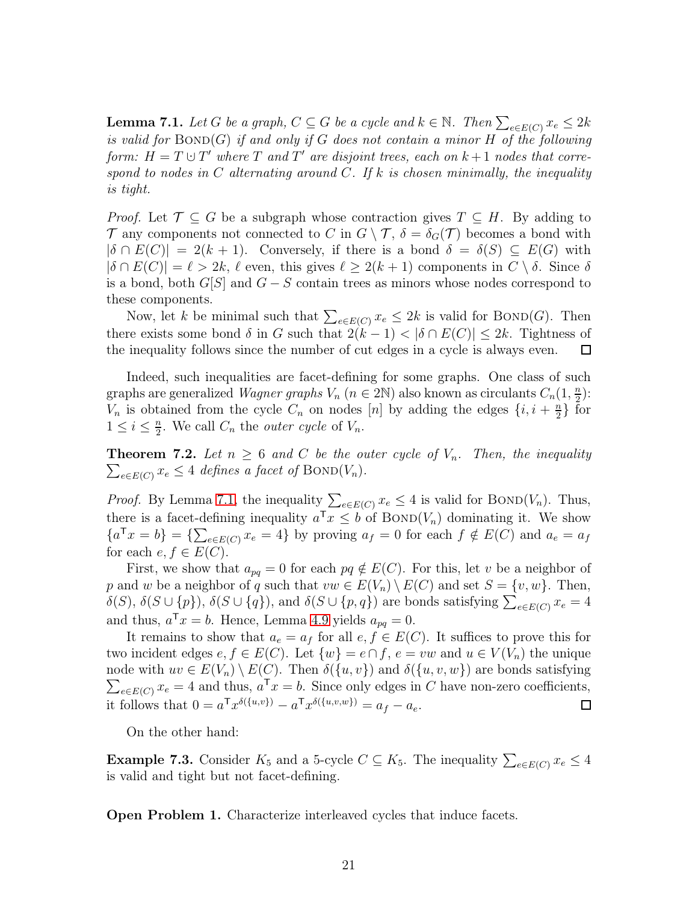**Lemma 7.1.** Let G be a graph,  $C \subseteq G$  be a cycle and  $k \in \mathbb{N}$ . Then  $\sum_{e \in E(C)} x_e \leq 2k$ is valid for  $BOND(G)$  if and only if G does not contain a minor H of the following form:  $H = T \cup T'$  where T and T' are disjoint trees, each on  $k + 1$  nodes that correspond to nodes in C alternating around C. If k is chosen minimally, the inequality is tight.

*Proof.* Let  $\mathcal{T} \subseteq G$  be a subgraph whose contraction gives  $T \subseteq H$ . By adding to  $\mathcal T$  any components not connected to C in  $G \setminus \mathcal T$ ,  $\delta = \delta_G(\mathcal T)$  becomes a bond with  $|\delta \cap E(C)| = 2(k+1)$ . Conversely, if there is a bond  $\delta = \delta(S) \subseteq E(G)$  with  $|\delta \cap E(C)| = \ell > 2k$ ,  $\ell$  even, this gives  $\ell \geq 2(k+1)$  components in  $C \setminus \delta$ . Since  $\delta$ is a bond, both  $G[S]$  and  $G - S$  contain trees as minors whose nodes correspond to these components.

Now, let k be minimal such that  $\sum_{e \in E(C)} x_e \leq 2k$  is valid for BOND(G). Then there exists some bond  $\delta$  in G such that  $2(k-1) < |\delta \cap E(C)| \leq 2k$ . Tightness of the inequality follows since the number of cut edges in a cycle is always even.  $\Box$ the inequality follows since the number of cut edges in a cycle is always even.

Indeed, such inequalities are facet-defining for some graphs. One class of such graphs are generalized *Wagner graphs*  $V_n$  ( $n \in 2\mathbb{N}$ ) also known as circulants  $C_n(1, \frac{n}{2})$  $\frac{n}{2}$ :  $V_n$  is obtained from the cycle  $C_n$  on nodes [n] by adding the edges  $\{i, i + \frac{n}{2}\}$  $\frac{n}{2}$  for  $1 \leq i \leq \frac{n}{2}$  $\frac{n}{2}$ . We call  $C_n$  the *outer cycle* of  $V_n$ .

<span id="page-20-0"></span> $\sum_{e \in E(C)} x_e \leq 4$  defines a facet of BOND( $V_n$ ). **Theorem 7.2.** Let  $n \geq 6$  and C be the outer cycle of  $V_n$ . Then, the inequality

*Proof.* By Lemma [7.1,](#page-19-2) the inequality  $\sum_{e \in E(C)} x_e \leq 4$  is valid for BOND( $V_n$ ). Thus, there is a facet-defining inequality  $a^{\mathsf{T}} x \leq b$  of  $\text{BOND}(V_n)$  dominating it. We show  ${a^{\mathsf{T}}x = b} = {\sum_{e \in E(C)} x_e = 4}$  by proving  $a_f = 0$  for each  $f \notin E(C)$  and  $a_e = a_f$ for each  $e, f \in E(C)$ .

First, we show that  $a_{pq} = 0$  for each  $pq \notin E(C)$ . For this, let v be a neighbor of p and w be a neighbor of q such that  $vw \in E(V_n) \setminus E(C)$  and set  $S = \{v, w\}$ . Then,  $\delta(S)$ ,  $\delta(S \cup \{p\})$ ,  $\delta(S \cup \{q\})$ , and  $\delta(S \cup \{p,q\})$  are bonds satisfying  $\sum_{e \in E(C)} x_e = 4$ and thus,  $a^{\mathsf{T}} x = b$ . Hence, Lemma [4.9](#page-12-2) yields  $a_{pq} = 0$ .

It remains to show that  $a_e = a_f$  for all  $e, f \in E(C)$ . It suffices to prove this for two incident edges  $e, f \in E(C)$ . Let  $\{w\} = e \cap f, e = vw$  and  $u \in V(V_n)$  the unique node with  $uv \in E(V_n) \setminus E(C)$ . Then  $\delta({u, v})$  and  $\delta({u, v, w})$  are bonds satisfying  $\sum_{e \in E(C)} x_e = 4$  and thus,  $a^T x = b$ . Since only edges in C have non-zero coefficients, it follows that  $0 = a^{\text{T}} x^{\delta({u,v})} - a^{\text{T}} x^{\delta({{u,v,w}})} = a_f - a_e$ .  $\Box$ 

On the other hand:

**Example 7.3.** Consider  $K_5$  and a 5-cycle  $C \subseteq K_5$ . The inequality  $\sum_{e \in E(C)} x_e \leq 4$ is valid and tight but not facet-defining.

Open Problem 1. Characterize interleaved cycles that induce facets.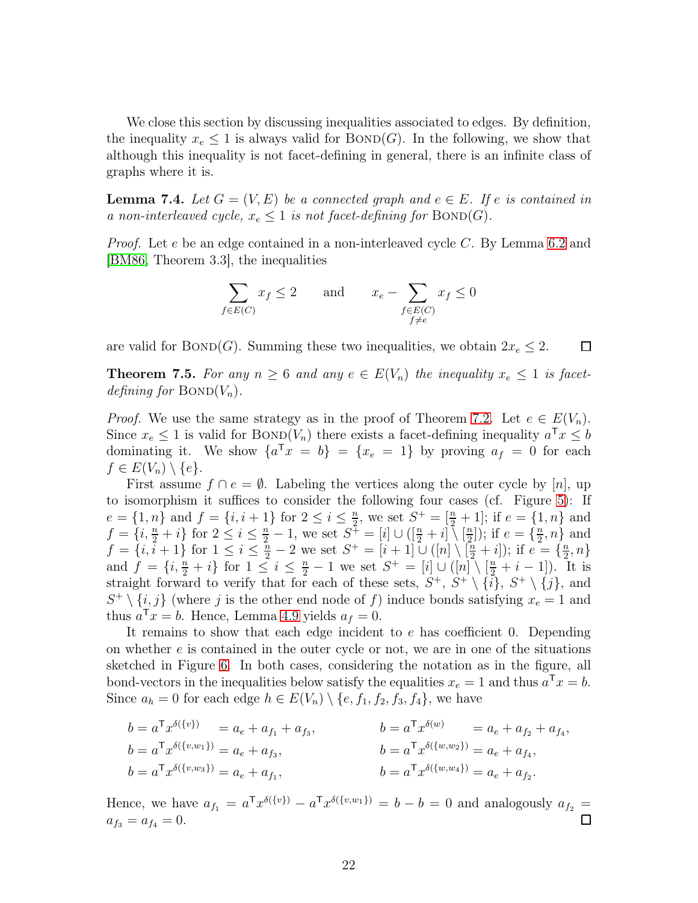We close this section by discussing inequalities associated to edges. By definition, the inequality  $x_e \leq 1$  is always valid for  $\text{BOND}(G)$ . In the following, we show that although this inequality is not facet-defining in general, there is an infinite class of graphs where it is.

**Lemma 7.4.** Let  $G = (V, E)$  be a connected graph and  $e \in E$ . If e is contained in a non-interleaved cycle,  $x_e \leq 1$  is not facet-defining for  $\text{BOND}(G)$ .

*Proof.* Let e be an edge contained in a non-interleaved cycle C. By Lemma [6.2](#page-15-1) and [\[BM86,](#page-26-8) Theorem 3.3], the inequalities

$$
\sum_{f \in E(C)} x_f \le 2 \quad \text{and} \quad x_e - \sum_{\substack{f \in E(C) \\ f \ne e}} x_f \le 0
$$

<span id="page-21-0"></span>are valid for BOND(G). Summing these two inequalities, we obtain  $2x_e \leq 2$ .  $\Box$ 

**Theorem 7.5.** For any  $n \geq 6$  and any  $e \in E(V_n)$  the inequality  $x_e \leq 1$  is facetdefining for  $\mathrm{BOND}(V_n)$ .

*Proof.* We use the same strategy as in the proof of Theorem [7.2.](#page-20-0) Let  $e \in E(V_n)$ . Since  $x_e \leq 1$  is valid for BOND( $V_n$ ) there exists a facet-defining inequality  $a^{\mathsf{T}} x \leq b$ dominating it. We show  $\{a^{\mathsf{T}}x = b\} = \{x_e = 1\}$  by proving  $a_f = 0$  for each  $f \in E(V_n) \setminus \{e\}.$ 

First assume  $f \cap e = \emptyset$ . Labeling the vertices along the outer cycle by [n], up to isomorphism it suffices to consider the following four cases (cf. Figure [5\)](#page-22-1): If  $e = \{1, n\}$  and  $f = \{i, i + 1\}$  for  $2 \leq i \leq \frac{n}{2}$ , we set  $S^+ = \left[\frac{n}{2} + 1\right]$ ; if  $e = \{1, n\}$  and  $f = \{i, \frac{n}{2} + i\}$  for  $2 \le i \le \frac{n}{2} - 1$ , we set  $S^+ = [i] \cup ([\frac{n}{2} + i]) [\frac{n}{2}]$  $\left(\frac{n}{2}\right)$ ); if  $e = \left\{\frac{n}{2}\right\}$  $\frac{n}{2}, n$  and  $f = \{i, i+1\}$  for  $1 \leq i \leq \frac{n}{2} - 2$  we set  $S^+ = [i+1] \cup ([n] \setminus [\frac{n}{2} + i])$ ; if  $e = \{\frac{n}{2}$  $\frac{n}{2},n\}$ and  $f = \{i, \frac{n}{2} + i\}$  for  $1 \leq i \leq \frac{n}{2} - 1$  we set  $S^+ = [i] \cup ([n] \setminus [\frac{n}{2} + i - 1])$ . It is straight forward to verify that for each of these sets,  $S^+$ ,  $S^+ \setminus \{i\}$ ,  $S^+ \setminus \{j\}$ , and  $S^+ \setminus \{i, j\}$  (where j is the other end node of f) induce bonds satisfying  $x_e = 1$  and thus  $a^{\mathsf{T}} x = b$ . Hence, Lemma [4.9](#page-12-2) yields  $a_f = 0$ .

It remains to show that each edge incident to e has coefficient 0. Depending on whether  $e$  is contained in the outer cycle or not, we are in one of the situations sketched in Figure [6.](#page-22-2) In both cases, considering the notation as in the figure, all bond-vectors in the inequalities below satisfy the equalities  $x_e = 1$  and thus  $a^{\mathsf{T}} x = b$ . Since  $a_h = 0$  for each edge  $h \in E(V_n) \setminus \{e, f_1, f_2, f_3, f_4\}$ , we have

$$
b = a^{\mathsf{T}} x^{\delta(\{v\})} = a_e + a_{f_1} + a_{f_3},
$$
  
\n
$$
b = a^{\mathsf{T}} x^{\delta(\{v,w_1\})} = a_e + a_{f_3},
$$
  
\n
$$
b = a^{\mathsf{T}} x^{\delta(\{v,w_1\})} = a_e + a_{f_3},
$$
  
\n
$$
b = a^{\mathsf{T}} x^{\delta(\{w,w_2\})} = a_e + a_{f_4},
$$
  
\n
$$
b = a^{\mathsf{T}} x^{\delta(\{w,w_2\})} = a_e + a_{f_4},
$$
  
\n
$$
b = a^{\mathsf{T}} x^{\delta(\{w,w_2\})} = a_e + a_{f_4},
$$
  
\n
$$
b = a^{\mathsf{T}} x^{\delta(\{w,w_4\})} = a_e + a_{f_2}.
$$

Hence, we have  $a_{f_1} = a^{\mathsf{T}} x^{\delta({v_1})} - a^{\mathsf{T}} x^{\delta({v_2, w_1})} = b - b = 0$  and analogously  $a_{f_2} =$  $a_{f_3} = a_{f_4} = 0.$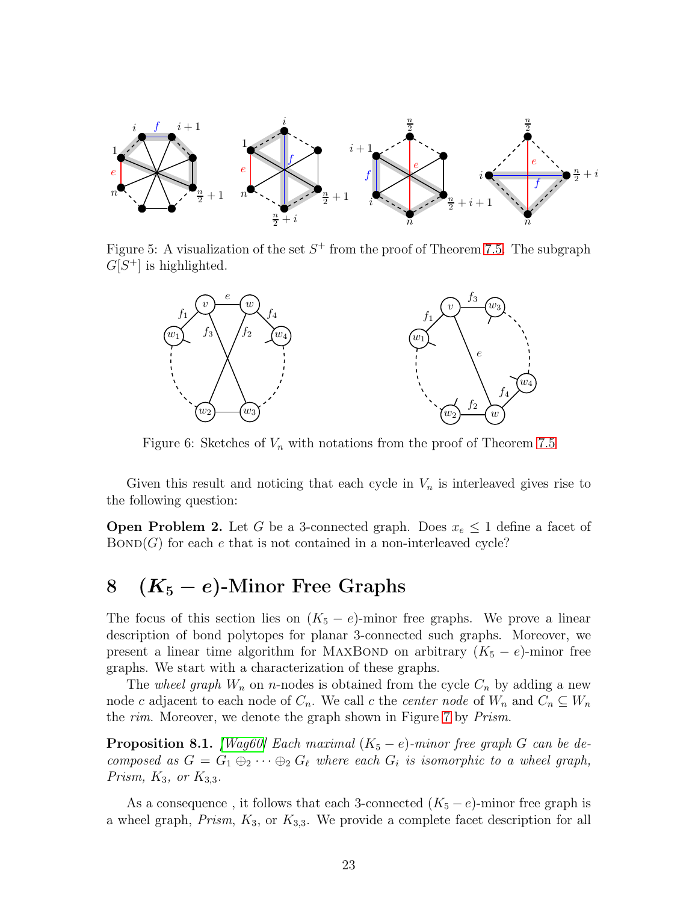<span id="page-22-1"></span>

<span id="page-22-2"></span>Figure 5: A visualization of the set  $S^+$  from the proof of Theorem [7.5.](#page-21-0) The subgraph  $G[S^+]$  is highlighted.



Figure 6: Sketches of  $V_n$  with notations from the proof of Theorem [7.5](#page-21-0)

Given this result and noticing that each cycle in  $V_n$  is interleaved gives rise to the following question:

**Open Problem 2.** Let G be a 3-connected graph. Does  $x_e \leq 1$  define a facet of  $BOND(G)$  for each e that is not contained in a non-interleaved cycle?

# <span id="page-22-0"></span>8  $(K_5 - e)$ -Minor Free Graphs

The focus of this section lies on  $(K_5 - e)$ -minor free graphs. We prove a linear description of bond polytopes for planar 3-connected such graphs. Moreover, we present a linear time algorithm for MAXBOND on arbitrary  $(K_5 - e)$ -minor free graphs. We start with a characterization of these graphs.

The wheel graph  $W_n$  on n-nodes is obtained from the cycle  $C_n$  by adding a new node c adjacent to each node of  $C_n$ . We call c the center node of  $W_n$  and  $C_n \subseteq W_n$ the *rim*. Moreover, we denote the graph shown in Figure [7](#page-23-0) by *Prism*.

<span id="page-22-3"></span>**Proposition 8.1.** [\[Wag60\]](#page-27-10) Each maximal  $(K_5 - e)$ -minor free graph G can be decomposed as  $G = G_1 \oplus_2 \cdots \oplus_2 G_\ell$  where each  $G_i$  is isomorphic to a wheel graph, Prism,  $K_3$ , or  $K_{3,3}$ .

As a consequence, it follows that each 3-connected  $(K_5 - e)$ -minor free graph is a wheel graph,  $Prism$ ,  $K_3$ , or  $K_{3,3}$ . We provide a complete facet description for all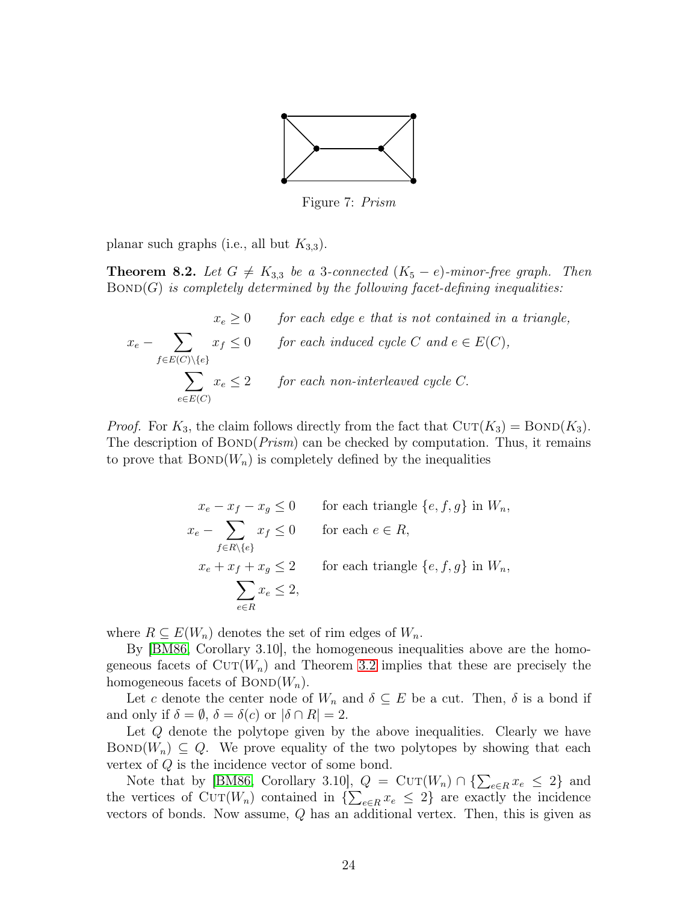

Figure 7: Prism

<span id="page-23-0"></span>planar such graphs (i.e., all but  $K_{3,3}$ ).

**Theorem 8.2.** Let  $G \neq K_{3,3}$  be a 3-connected  $(K_5 - e)$ -minor-free graph. Then  $BOND(G)$  is completely determined by the following facet-defining inequalities:

$$
x_e \ge 0 \tfor each edge e that is not contained in a triangle,\n
$$
x_e - \sum_{f \in E(C) \setminus \{e\}} x_f \le 0 \tfor each induced cycle C and e \in E(C),
$$
\n
$$
\sum_{e \in E(C)} x_e \le 2 \tfor each non-interleaved cycle C.
$$
$$

*Proof.* For  $K_3$ , the claim follows directly from the fact that  $CUT(K_3) = BOND(K_3)$ . The description of  $BOND(Prism)$  can be checked by computation. Thus, it remains to prove that  $BOND(W_n)$  is completely defined by the inequalities

$$
x_e - x_f - x_g \le 0 \tfor each triangle {e, f, g} in Wn,\n x_e - \sum_{f \in R \setminus \{e\}} x_f \le 0 \tfor each  $e \in R$ ,  
\n x_e + x_f + x_g \le 2 \tfor each triangle {e, f, g} in W<sub>n</sub>,  
\n  $\sum_{e \in R} x_e \le 2$ ,
$$

where  $R \subseteq E(W_n)$  denotes the set of rim edges of  $W_n$ .

By [\[BM86,](#page-26-8) Corollary 3.10], the homogeneous inequalities above are the homogeneous facets of  $\text{CUT}(W_n)$  and Theorem [3.2](#page-5-1) implies that these are precisely the homogeneous facets of  $\text{BOND}(W_n)$ .

Let c denote the center node of  $W_n$  and  $\delta \subseteq E$  be a cut. Then,  $\delta$  is a bond if and only if  $\delta = \emptyset$ ,  $\delta = \delta(c)$  or  $|\delta \cap R| = 2$ .

Let Q denote the polytope given by the above inequalities. Clearly we have  $\text{BOND}(W_n) \subseteq Q$ . We prove equality of the two polytopes by showing that each vertex of Q is the incidence vector of some bond.

Note that by [\[BM86,](#page-26-8) Corollary 3.10],  $Q = \text{CUT}(W_n) \cap {\sum_{e \in R} x_e \leq 2}$  and the vertices of CUT( $W_n$ ) contained in  $\{\sum_{e \in R} x_e \leq 2\}$  are exactly the incidence vectors of bonds. Now assume,  $Q$  has an additional vertex. Then, this is given as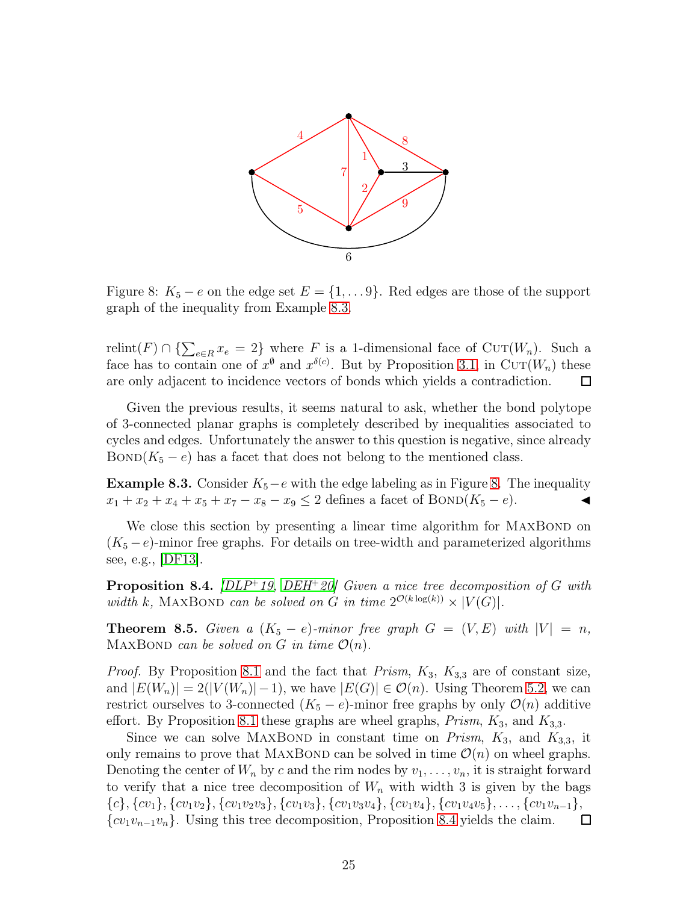<span id="page-24-1"></span>

Figure 8:  $K_5 - e$  on the edge set  $E = \{1, \ldots 9\}$ . Red edges are those of the support graph of the inequality from Example [8.3.](#page-24-0)

relint(F) ∩ { $\sum_{e \in R} x_e = 2$ } where F is a 1-dimensional face of CUT( $W_n$ ). Such a face has to contain one of  $x^{\emptyset}$  and  $x^{\delta(c)}$ . But by Proposition [3.1,](#page-4-2) in CUT( $W_n$ ) these are only adjacent to incidence vectors of bonds which yields a contradiction.  $\Box$ 

Given the previous results, it seems natural to ask, whether the bond polytope of 3-connected planar graphs is completely described by inequalities associated to cycles and edges. Unfortunately the answer to this question is negative, since already  $BOND(K_5 - e)$  has a facet that does not belong to the mentioned class.

<span id="page-24-0"></span>**Example [8.](#page-24-1)3.** Consider  $K_5 - e$  with the edge labeling as in Figure 8. The inequality  $x_1 + x_2 + x_4 + x_5 + x_7 - x_8 - x_9 \leq 2$  defines a facet of BOND( $K_5 - e$ ).

We close this section by presenting a linear time algorithm for MAXBOND on  $(K_5 - e)$ -minor free graphs. For details on tree-width and parameterized algorithms see, e.g., [\[DF13\]](#page-26-17).

<span id="page-24-2"></span>**Proposition 8.4.** [\[DLP](#page-26-1)+19, [DEH](#page-26-4)+20] Given a nice tree decomposition of G with width k, MAXBOND can be solved on G in time  $2^{\mathcal{O}(k \log(k))} \times |V(G)|$ .

**Theorem 8.5.** Given a  $(K_5 - e)$ -minor free graph  $G = (V, E)$  with  $|V| = n$ , MAXBOND can be solved on G in time  $\mathcal{O}(n)$ .

*Proof.* By Proposition [8.1](#page-22-3) and the fact that *Prism*,  $K_3$ ,  $K_{3,3}$  are of constant size, and  $|E(W_n)| = 2(|V(W_n)|-1)$ , we have  $|E(G)| \in \mathcal{O}(n)$ . Using Theorem [5.2,](#page-13-1) we can restrict ourselves to 3-connected  $(K_5 - e)$ -minor free graphs by only  $\mathcal{O}(n)$  additive effort. By Proposition [8.1](#page-22-3) these graphs are wheel graphs,  $Prism$ ,  $K_3$ , and  $K_{3,3}$ .

Since we can solve MAXBOND in constant time on *Prism*,  $K_3$ , and  $K_{3,3}$ , it only remains to prove that MAXBOND can be solved in time  $\mathcal{O}(n)$  on wheel graphs. Denoting the center of  $W_n$  by c and the rim nodes by  $v_1, \ldots, v_n$ , it is straight forward to verify that a nice tree decomposition of  $W_n$  with width 3 is given by the bags  ${c}$ ,  ${cv_1}, {cv_1}, {cv_1v_2}, {cv_1v_2v_3}, {cv_1v_3}, {cv_1v_3v_4}, {cv_1v_4}, {cv_1v_4v_5}, \ldots, {cv_1v_{n-1}}, {cv_1v_{n-1}v_n}.$  Using this tree decomposition, Proposition 8.4 yields the claim.  $\square$  ${cv_1v_{n-1}v_n}$ . Using this tree decomposition, Proposition [8.4](#page-24-2) yields the claim.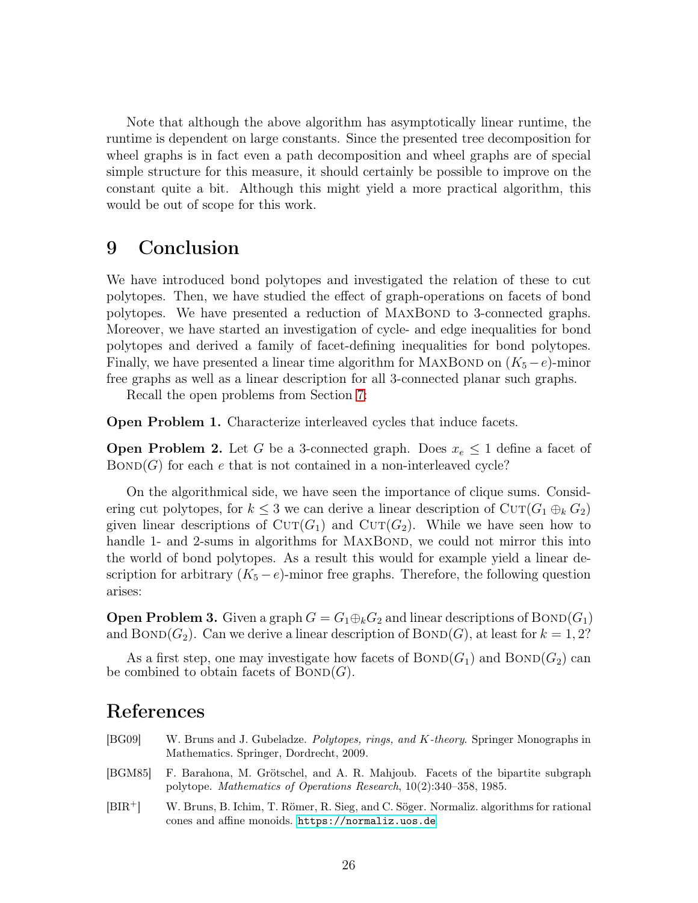Note that although the above algorithm has asymptotically linear runtime, the runtime is dependent on large constants. Since the presented tree decomposition for wheel graphs is in fact even a path decomposition and wheel graphs are of special simple structure for this measure, it should certainly be possible to improve on the constant quite a bit. Although this might yield a more practical algorithm, this would be out of scope for this work.

### 9 Conclusion

We have introduced bond polytopes and investigated the relation of these to cut polytopes. Then, we have studied the effect of graph-operations on facets of bond polytopes. We have presented a reduction of MAXBOND to 3-connected graphs. Moreover, we have started an investigation of cycle- and edge inequalities for bond polytopes and derived a family of facet-defining inequalities for bond polytopes. Finally, we have presented a linear time algorithm for MAXBOND on  $(K_5 - e)$ -minor free graphs as well as a linear description for all 3-connected planar such graphs.

Recall the open problems from Section [7:](#page-19-0)

Open Problem 1. Characterize interleaved cycles that induce facets.

**Open Problem 2.** Let G be a 3-connected graph. Does  $x_e \leq 1$  define a facet of  $BOND(G)$  for each e that is not contained in a non-interleaved cycle?

On the algorithmical side, we have seen the importance of clique sums. Considering cut polytopes, for  $k \leq 3$  we can derive a linear description of  $\text{Cur}(G_1 \oplus_k G_2)$ given linear descriptions of  $\text{CUT}(G_1)$  and  $\text{CUT}(G_2)$ . While we have seen how to handle 1- and 2-sums in algorithms for MAXBOND, we could not mirror this into the world of bond polytopes. As a result this would for example yield a linear description for arbitrary  $(K_5 - e)$ -minor free graphs. Therefore, the following question arises:

**Open Problem 3.** Given a graph  $G = G_1 \oplus_k G_2$  and linear descriptions of BOND( $G_1$ ) and  $BOND(G_2)$ . Can we derive a linear description of  $BOND(G)$ , at least for  $k = 1, 2$ ?

As a first step, one may investigate how facets of  $BOND(G_1)$  and  $BOND(G_2)$  can be combined to obtain facets of  $BOND(G)$ .

# References

- <span id="page-25-1"></span>[BG09] W. Bruns and J. Gubeladze. Polytopes, rings, and K-theory. Springer Monographs in Mathematics. Springer, Dordrecht, 2009.
- <span id="page-25-0"></span>[BGM85] F. Barahona, M. Grötschel, and A. R. Mahjoub. Facets of the bipartite subgraph polytope. Mathematics of Operations Research, 10(2):340–358, 1985.
- <span id="page-25-2"></span>[BIR<sup>+</sup>] W. Bruns, B. Ichim, T. Römer, R. Sieg, and C. Söger. Normaliz. algorithms for rational cones and affine monoids. <https://normaliz.uos.de>.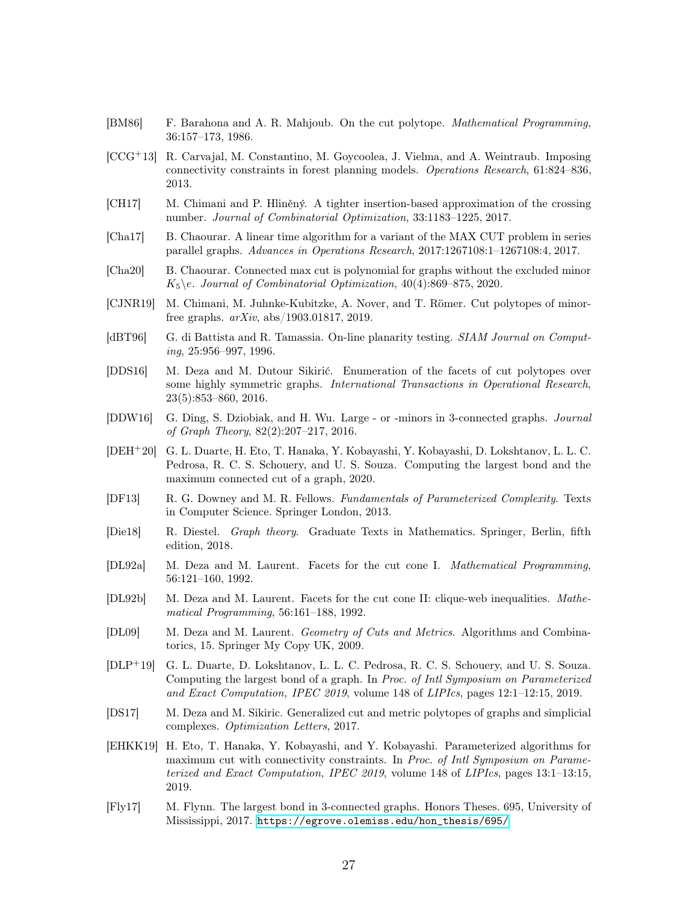- <span id="page-26-8"></span>[BM86] F. Barahona and A. R. Mahjoub. On the cut polytope. Mathematical Programming, 36:157–173, 1986.
- <span id="page-26-5"></span>[CCG+13] R. Carvajal, M. Constantino, M. Goycoolea, J. Vielma, and A. Weintraub. Imposing connectivity constraints in forest planning models. Operations Research, 61:824–836, 2013.
- <span id="page-26-16"></span>[CH17] M. Chimani and P. Hliněný. A tighter insertion-based approximation of the crossing number. Journal of Combinatorial Optimization, 33:1183–1225, 2017.
- <span id="page-26-3"></span>[Cha17] B. Chaourar. A linear time algorithm for a variant of the MAX CUT problem in series parallel graphs. Advances in Operations Research, 2017:1267108:1–1267108:4, 2017.
- <span id="page-26-2"></span>[Cha20] B. Chaourar. Connected max cut is polynomial for graphs without the excluded minor  $K_5\backslash e$ . Journal of Combinatorial Optimization, 40(4):869–875, 2020.
- <span id="page-26-13"></span>[CJNR19] M. Chimani, M. Juhnke-Kubitzke, A. Nover, and T. Römer. Cut polytopes of minorfree graphs. arXiv, abs/1903.01817, 2019.
- <span id="page-26-15"></span>[dBT96] G. di Battista and R. Tamassia. On-line planarity testing. SIAM Journal on Computing, 25:956–997, 1996.
- [DDS16] M. Deza and M. Dutour Sikirić. Enumeration of the facets of cut polytopes over some highly symmetric graphs. International Transactions in Operational Research, 23(5):853–860, 2016.
- <span id="page-26-6"></span>[DDW16] G. Ding, S. Dziobiak, and H. Wu. Large - or -minors in 3-connected graphs. Journal of Graph Theory, 82(2):207–217, 2016.
- <span id="page-26-4"></span>[DEH+20] G. L. Duarte, H. Eto, T. Hanaka, Y. Kobayashi, Y. Kobayashi, D. Lokshtanov, L. L. C. Pedrosa, R. C. S. Schouery, and U. S. Souza. Computing the largest bond and the maximum connected cut of a graph, 2020.
- <span id="page-26-17"></span>[DF13] R. G. Downey and M. R. Fellows. Fundamentals of Parameterized Complexity. Texts in Computer Science. Springer London, 2013.
- <span id="page-26-14"></span>[Die18] R. Diestel. Graph theory. Graduate Texts in Mathematics. Springer, Berlin, fifth edition, 2018.
- <span id="page-26-9"></span>[DL92a] M. Deza and M. Laurent. Facets for the cut cone I. Mathematical Programming, 56:121–160, 1992.
- <span id="page-26-10"></span>[DL92b] M. Deza and M. Laurent. Facets for the cut cone II: clique-web inequalities. Mathematical Programming, 56:161–188, 1992.
- <span id="page-26-11"></span>[DL09] M. Deza and M. Laurent. Geometry of Cuts and Metrics. Algorithms and Combinatorics, 15. Springer My Copy UK, 2009.
- <span id="page-26-1"></span>[DLP<sup>+</sup>19] G. L. Duarte, D. Lokshtanov, L. L. C. Pedrosa, R. C. S. Schouery, and U. S. Souza. Computing the largest bond of a graph. In Proc. of Intl Symposium on Parameterized and Exact Computation, IPEC 2019, volume 148 of LIPIcs, pages 12:1–12:15, 2019.
- <span id="page-26-12"></span>[DS17] M. Deza and M. Sikiric. Generalized cut and metric polytopes of graphs and simplicial complexes. Optimization Letters, 2017.
- <span id="page-26-0"></span>[EHKK19] H. Eto, T. Hanaka, Y. Kobayashi, and Y. Kobayashi. Parameterized algorithms for maximum cut with connectivity constraints. In Proc. of Intl Symposium on Parameterized and Exact Computation, IPEC 2019, volume 148 of LIPIcs, pages 13:1–13:15, 2019.
- <span id="page-26-7"></span>[Fly17] M. Flynn. The largest bond in 3-connected graphs. Honors Theses. 695, University of Mississippi, 2017. [https://egrove.olemiss.edu/hon\\_thesis/695/](https://egrove.olemiss.edu/hon_thesis/695/).